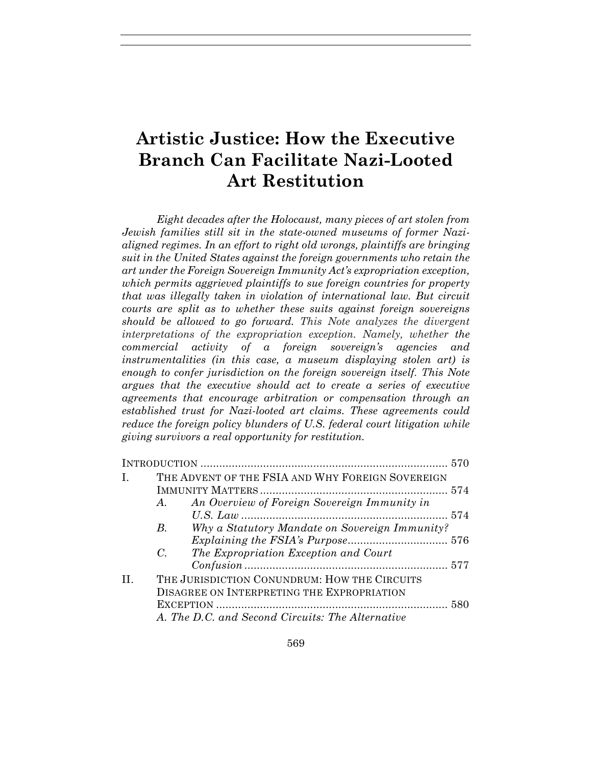# **Artistic Justice: How the Executive Branch Can Facilitate Nazi-Looted Art Restitution**

*Eight decades after the Holocaust, many pieces of art stolen from Jewish families still sit in the state-owned museums of former Nazialigned regimes. In an effort to right old wrongs, plaintiffs are bringing suit in the United States against the foreign governments who retain the art under the Foreign Sovereign Immunity Act's expropriation exception, which permits aggrieved plaintiffs to sue foreign countries for property that was illegally taken in violation of international law. But circuit courts are split as to whether these suits against foreign sovereigns should be allowed to go forward. This Note analyzes the divergent interpretations of the expropriation exception. Namely, whether the commercial activity of a foreign sovereign's agencies and instrumentalities (in this case, a museum displaying stolen art) is enough to confer jurisdiction on the foreign sovereign itself. This Note argues that the executive should act to create a series of executive agreements that encourage arbitration or compensation through an established trust for Nazi-looted art claims. These agreements could reduce the foreign policy blunders of U.S. federal court litigation while giving survivors a real opportunity for restitution.* 

| Ι.  | THE ADVENT OF THE FSIA AND WHY FOREIGN SOVEREIGN |                                                |  |  |
|-----|--------------------------------------------------|------------------------------------------------|--|--|
|     |                                                  |                                                |  |  |
|     | $A$ .                                            | An Overview of Foreign Sovereign Immunity in   |  |  |
|     |                                                  |                                                |  |  |
|     | $B_{\cdot}$                                      | Why a Statutory Mandate on Sovereign Immunity? |  |  |
|     |                                                  |                                                |  |  |
|     | $C_{\cdot}$                                      | The Expropriation Exception and Court          |  |  |
|     |                                                  |                                                |  |  |
| II. | THE JURISDICTION CONUNDRUM: HOW THE CIRCUITS     |                                                |  |  |
|     | DISAGREE ON INTERPRETING THE EXPROPRIATION       |                                                |  |  |
|     |                                                  |                                                |  |  |
|     | A. The D.C. and Second Circuits: The Alternative |                                                |  |  |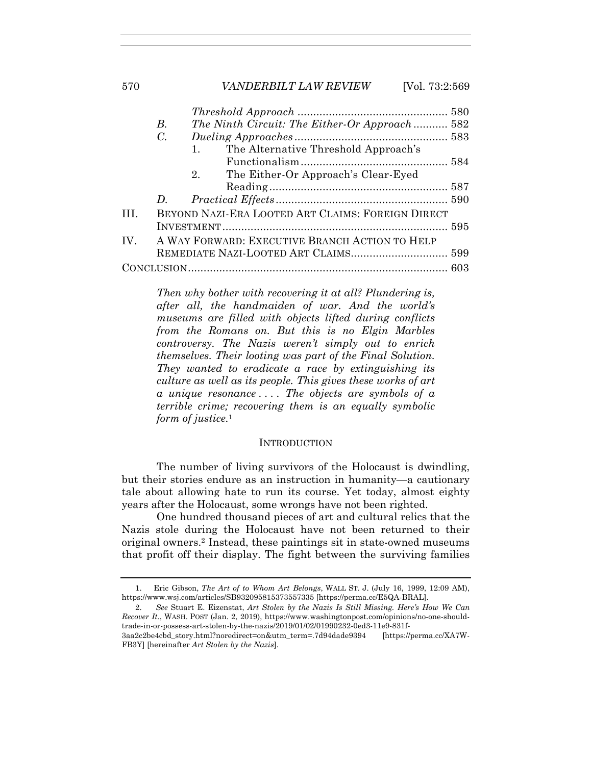|          | В.                                             |    | The Ninth Circuit: The Either-Or Approach 582     |  |  |
|----------|------------------------------------------------|----|---------------------------------------------------|--|--|
|          | $C_{\cdot}$                                    |    |                                                   |  |  |
|          |                                                | 1. | The Alternative Threshold Approach's              |  |  |
|          |                                                |    |                                                   |  |  |
|          |                                                |    | 2. The Either-Or Approach's Clear-Eyed            |  |  |
|          |                                                |    |                                                   |  |  |
|          | D.                                             |    |                                                   |  |  |
| TH.      |                                                |    | BEYOND NAZI-ERA LOOTED ART CLAIMS: FOREIGN DIRECT |  |  |
|          |                                                |    |                                                   |  |  |
| $IV_{-}$ | A WAY FORWARD: EXECUTIVE BRANCH ACTION TO HELP |    |                                                   |  |  |
|          |                                                |    |                                                   |  |  |
|          |                                                |    |                                                   |  |  |

*Then why bother with recovering it at all? Plundering is, after all, the handmaiden of war. And the world's museums are filled with objects lifted during conflicts from the Romans on. But this is no Elgin Marbles controversy. The Nazis weren't simply out to enrich themselves. Their looting was part of the Final Solution. They wanted to eradicate a race by extinguishing its culture as well as its people. This gives these works of art a unique resonance . . . . The objects are symbols of a terrible crime; recovering them is an equally symbolic form of justice.*<sup>1</sup>

#### INTRODUCTION

The number of living survivors of the Holocaust is dwindling, but their stories endure as an instruction in humanity—a cautionary tale about allowing hate to run its course. Yet today, almost eighty years after the Holocaust, some wrongs have not been righted.

One hundred thousand pieces of art and cultural relics that the Nazis stole during the Holocaust have not been returned to their original owners.2 Instead, these paintings sit in state-owned museums that profit off their display. The fight between the surviving families

 <sup>1.</sup> Eric Gibson, *The Art of to Whom Art Belongs*, WALL ST. J. (July 16, 1999, 12:09 AM), https://www.wsj.com/articles/SB932095815373557335 [https://perma.cc/E5QA-BRAL].

 <sup>2.</sup> *See* Stuart E. Eizenstat, *Art Stolen by the Nazis Is Still Missing. Here's How We Can Recover It.*, WASH. POST (Jan. 2, 2019), https://www.washingtonpost.com/opinions/no-one-shouldtrade-in-or-possess-art-stolen-by-the-nazis/2019/01/02/01990232-0ed3-11e9-831f-

<sup>3</sup>aa2c2be4cbd\_story.html?noredirect=on&utm\_term=.7d94dade9394 [https://perma.cc/XA7W-FB3Y] [hereinafter *Art Stolen by the Nazis*].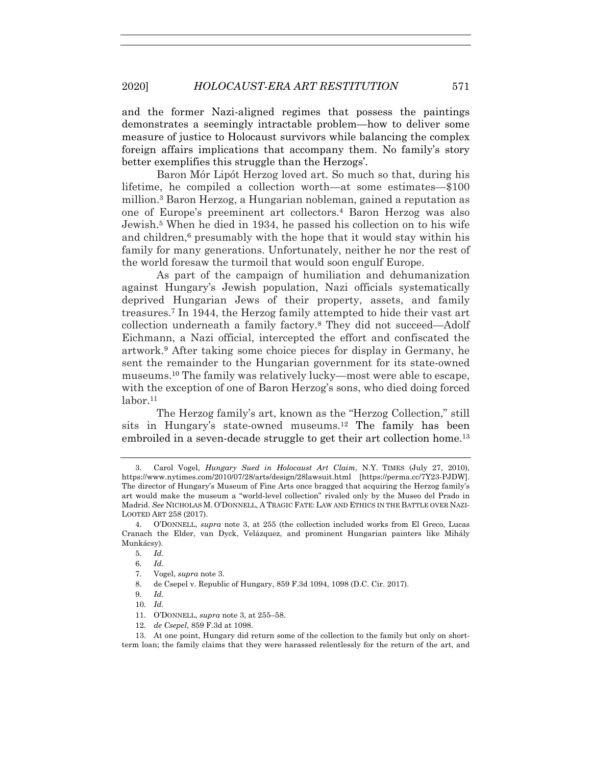# 2020] *HOLOCAUST-ERA ART RESTITUTION* 571

and the former Nazi-aligned regimes that possess the paintings demonstrates a seemingly intractable problem—how to deliver some measure of justice to Holocaust survivors while balancing the complex foreign affairs implications that accompany them. No family's story better exemplifies this struggle than the Herzogs'.

Baron Mór Lipót Herzog loved art. So much so that, during his lifetime, he compiled a collection worth—at some estimates—\$100 million.3 Baron Herzog, a Hungarian nobleman, gained a reputation as one of Europe's preeminent art collectors.4 Baron Herzog was also Jewish.5 When he died in 1934, he passed his collection on to his wife and children,<sup>6</sup> presumably with the hope that it would stay within his family for many generations. Unfortunately, neither he nor the rest of the world foresaw the turmoil that would soon engulf Europe.

As part of the campaign of humiliation and dehumanization against Hungary's Jewish population, Nazi officials systematically deprived Hungarian Jews of their property, assets, and family treasures.7 In 1944, the Herzog family attempted to hide their vast art collection underneath a family factory.8 They did not succeed—Adolf Eichmann, a Nazi official, intercepted the effort and confiscated the artwork.9 After taking some choice pieces for display in Germany, he sent the remainder to the Hungarian government for its state-owned museums.10 The family was relatively lucky—most were able to escape, with the exception of one of Baron Herzog's sons, who died doing forced  $labor.<sup>11</sup>$ 

The Herzog family's art, known as the "Herzog Collection," still sits in Hungary's state-owned museums.12 The family has been embroiled in a seven-decade struggle to get their art collection home.<sup>13</sup>

12*. de Csepel*, 859 F.3d at 1098.

 13. At one point, Hungary did return some of the collection to the family but only on shortterm loan; the family claims that they were harassed relentlessly for the return of the art, and

 <sup>3.</sup> Carol Vogel, *Hungary Sued in Holocaust Art Claim*, N.Y. TIMES (July 27, 2010), https://www.nytimes.com/2010/07/28/arts/design/28lawsuit.html [https://perma.cc/7Y23-PJDW]. The director of Hungary's Museum of Fine Arts once bragged that acquiring the Herzog family's art would make the museum a "world-level collection" rivaled only by the Museo del Prado in Madrid. *See* NICHOLAS M. O'DONNELL, A TRAGIC FATE: LAW AND ETHICS IN THE BATTLE OVER NAZI-LOOTED ART 258 (2017).

 <sup>4.</sup> O'DONNELL, *supra* note 3, at 255 (the collection included works from El Greco, Lucas Cranach the Elder, van Dyck, Velázquez, and prominent Hungarian painters like Mihály Munkácsy).

<sup>5</sup>*. Id.*

<sup>6</sup>*. Id.*

 <sup>7.</sup> Vogel, *supra* note 3.

 <sup>8.</sup> de Csepel v. Republic of Hungary, 859 F.3d 1094, 1098 (D.C. Cir. 2017).

<sup>9</sup>*. Id.*

<sup>10</sup>*. Id.*

 <sup>11.</sup> O'DONNELL, *supra* note 3, at 255–58.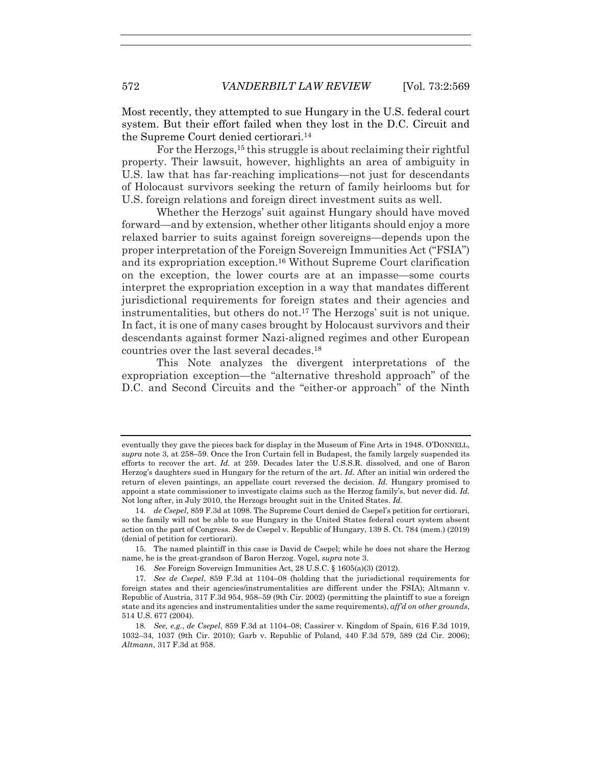Most recently, they attempted to sue Hungary in the U.S. federal court system. But their effort failed when they lost in the D.C. Circuit and the Supreme Court denied certiorari.14

For the Herzogs,<sup>15</sup> this struggle is about reclaiming their rightful property. Their lawsuit, however, highlights an area of ambiguity in U.S. law that has far-reaching implications—not just for descendants of Holocaust survivors seeking the return of family heirlooms but for U.S. foreign relations and foreign direct investment suits as well.

Whether the Herzogs' suit against Hungary should have moved forward—and by extension, whether other litigants should enjoy a more relaxed barrier to suits against foreign sovereigns—depends upon the proper interpretation of the Foreign Sovereign Immunities Act ("FSIA") and its expropriation exception.16 Without Supreme Court clarification on the exception, the lower courts are at an impasse—some courts interpret the expropriation exception in a way that mandates different jurisdictional requirements for foreign states and their agencies and instrumentalities, but others do not.17 The Herzogs' suit is not unique. In fact, it is one of many cases brought by Holocaust survivors and their descendants against former Nazi-aligned regimes and other European countries over the last several decades.18

This Note analyzes the divergent interpretations of the expropriation exception—the "alternative threshold approach" of the D.C. and Second Circuits and the "either-or approach" of the Ninth

eventually they gave the pieces back for display in the Museum of Fine Arts in 1948. O'DONNELL, *supra* note 3, at 258–59. Once the Iron Curtain fell in Budapest, the family largely suspended its efforts to recover the art. *Id.* at 259. Decades later the U.S.S.R. dissolved, and one of Baron Herzog's daughters sued in Hungary for the return of the art. *Id.* After an initial win ordered the return of eleven paintings, an appellate court reversed the decision. *Id.* Hungary promised to appoint a state commissioner to investigate claims such as the Herzog family's, but never did. *Id.* Not long after, in July 2010, the Herzogs brought suit in the United States. *Id.*

<sup>14</sup>*. de Csepel*, 859 F.3d at 1098. The Supreme Court denied de Csepel's petition for certiorari, so the family will not be able to sue Hungary in the United States federal court system absent action on the part of Congress. *See* de Csepel v. Republic of Hungary, 139 S. Ct. 784 (mem.) (2019) (denial of petition for certiorari).

 <sup>15.</sup> The named plaintiff in this case is David de Csepel; while he does not share the Herzog name, he is the great-grandson of Baron Herzog. Vogel, *supra* note 3.

<sup>16</sup>*. See* Foreign Sovereign Immunities Act, 28 U.S.C. § 1605(a)(3) (2012).

<sup>17</sup>*. See de Csepel*, 859 F.3d at 1104–08 (holding that the jurisdictional requirements for foreign states and their agencies/instrumentalities are different under the FSIA); Altmann v. Republic of Austria, 317 F.3d 954, 958–59 (9th Cir. 2002) (permitting the plaintiff to sue a foreign state and its agencies and instrumentalities under the same requirements), *aff'd on other grounds*, 514 U.S. 677 (2004).

<sup>18</sup>*. See, e.g.*, *de Csepel*, 859 F.3d at 1104–08; Cassirer v. Kingdom of Spain, 616 F.3d 1019, 1032–34, 1037 (9th Cir. 2010); Garb v. Republic of Poland, 440 F.3d 579, 589 (2d Cir. 2006); *Altmann*, 317 F.3d at 958.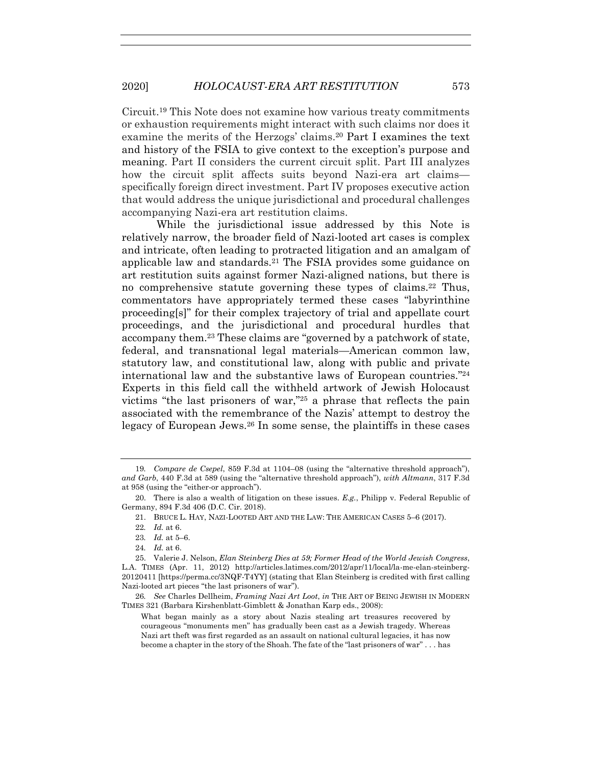Circuit.19 This Note does not examine how various treaty commitments or exhaustion requirements might interact with such claims nor does it examine the merits of the Herzogs' claims.20 Part I examines the text and history of the FSIA to give context to the exception's purpose and meaning. Part II considers the current circuit split. Part III analyzes how the circuit split affects suits beyond Nazi-era art claims specifically foreign direct investment. Part IV proposes executive action that would address the unique jurisdictional and procedural challenges accompanying Nazi-era art restitution claims.

While the jurisdictional issue addressed by this Note is relatively narrow, the broader field of Nazi-looted art cases is complex and intricate, often leading to protracted litigation and an amalgam of applicable law and standards.21 The FSIA provides some guidance on art restitution suits against former Nazi-aligned nations, but there is no comprehensive statute governing these types of claims.22 Thus, commentators have appropriately termed these cases "labyrinthine proceeding[s]" for their complex trajectory of trial and appellate court proceedings, and the jurisdictional and procedural hurdles that accompany them.23 These claims are "governed by a patchwork of state, federal, and transnational legal materials—American common law, statutory law, and constitutional law, along with public and private international law and the substantive laws of European countries."24 Experts in this field call the withheld artwork of Jewish Holocaust victims "the last prisoners of war,"25 a phrase that reflects the pain associated with the remembrance of the Nazis' attempt to destroy the legacy of European Jews.26 In some sense, the plaintiffs in these cases

<sup>19</sup>*. Compare de Csepel*, 859 F.3d at 1104–08 (using the "alternative threshold approach"), *and Garb*, 440 F.3d at 589 (using the "alternative threshold approach"), *with Altmann*, 317 F.3d at 958 (using the "either-or approach").

 <sup>20.</sup> There is also a wealth of litigation on these issues. *E.g.*, Philipp v. Federal Republic of Germany, 894 F.3d 406 (D.C. Cir. 2018).

 <sup>21.</sup> BRUCE L. HAY, NAZI-LOOTED ART AND THE LAW: THE AMERICAN CASES 5–6 (2017).

<sup>22</sup>*. Id.* at 6.

<sup>23</sup>*. Id.* at 5–6.

<sup>24</sup>*. Id.* at 6.

 <sup>25.</sup> Valerie J. Nelson, *Elan Steinberg Dies at 59; Former Head of the World Jewish Congress*, L.A. TIMES (Apr. 11, 2012) http://articles.latimes.com/2012/apr/11/local/la-me-elan-steinberg-20120411 [https://perma.cc/3NQF-T4YY] (stating that Elan Steinberg is credited with first calling Nazi-looted art pieces "the last prisoners of war").

<sup>26</sup>*. See* Charles Dellheim, *Framing Nazi Art Loot*, *in* THE ART OF BEING JEWISH IN MODERN TIMES 321 (Barbara Kirshenblatt-Gimblett & Jonathan Karp eds., 2008):

What began mainly as a story about Nazis stealing art treasures recovered by courageous "monuments men" has gradually been cast as a Jewish tragedy. Whereas Nazi art theft was first regarded as an assault on national cultural legacies, it has now become a chapter in the story of the Shoah. The fate of the "last prisoners of war" . . . has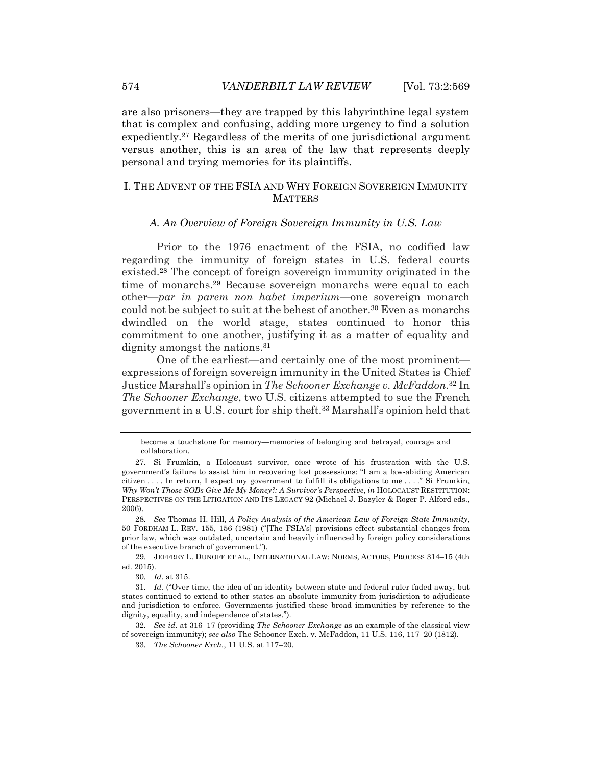are also prisoners—they are trapped by this labyrinthine legal system that is complex and confusing, adding more urgency to find a solution expediently.27 Regardless of the merits of one jurisdictional argument versus another, this is an area of the law that represents deeply personal and trying memories for its plaintiffs.

## I. THE ADVENT OF THE FSIA AND WHY FOREIGN SOVEREIGN IMMUNITY **MATTERS**

# *A. An Overview of Foreign Sovereign Immunity in U.S. Law*

Prior to the 1976 enactment of the FSIA, no codified law regarding the immunity of foreign states in U.S. federal courts existed.28 The concept of foreign sovereign immunity originated in the time of monarchs.29 Because sovereign monarchs were equal to each other—*par in parem non habet imperium*—one sovereign monarch could not be subject to suit at the behest of another.30 Even as monarchs dwindled on the world stage, states continued to honor this commitment to one another, justifying it as a matter of equality and dignity amongst the nations.<sup>31</sup>

One of the earliest—and certainly one of the most prominent expressions of foreign sovereign immunity in the United States is Chief Justice Marshall's opinion in *The Schooner Exchange v. McFaddon*.32 In *The Schooner Exchange*, two U.S. citizens attempted to sue the French government in a U.S. court for ship theft.33 Marshall's opinion held that

28*. See* Thomas H. Hill, *A Policy Analysis of the American Law of Foreign State Immunity*, 50 FORDHAM L. REV. 155, 156 (1981) ("[The FSIA's] provisions effect substantial changes from prior law, which was outdated, uncertain and heavily influenced by foreign policy considerations of the executive branch of government.").

 29. JEFFREY L. DUNOFF ET AL., INTERNATIONAL LAW: NORMS, ACTORS, PROCESS 314–15 (4th ed. 2015).

30*. Id.* at 315.

become a touchstone for memory—memories of belonging and betrayal, courage and collaboration.

 <sup>27.</sup> Si Frumkin, a Holocaust survivor, once wrote of his frustration with the U.S. government's failure to assist him in recovering lost possessions: "I am a law-abiding American citizen . . . . In return, I expect my government to fulfill its obligations to me . . . ." Si Frumkin, *Why Won't Those SOBs Give Me My Money?: A Survivor's Perspective*, *in* HOLOCAUST RESTITUTION: PERSPECTIVES ON THE LITIGATION AND ITS LEGACY 92 (Michael J. Bazyler & Roger P. Alford eds., 2006).

<sup>31</sup>*. Id.* ("Over time, the idea of an identity between state and federal ruler faded away, but states continued to extend to other states an absolute immunity from jurisdiction to adjudicate and jurisdiction to enforce. Governments justified these broad immunities by reference to the dignity, equality, and independence of states.").

<sup>32</sup>*. See id.* at 316–17 (providing *The Schooner Exchange* as an example of the classical view of sovereign immunity); *see also* The Schooner Exch. v. McFaddon, 11 U.S. 116, 117–20 (1812).

<sup>33</sup>*. The Schooner Exch.*, 11 U.S. at 117–20.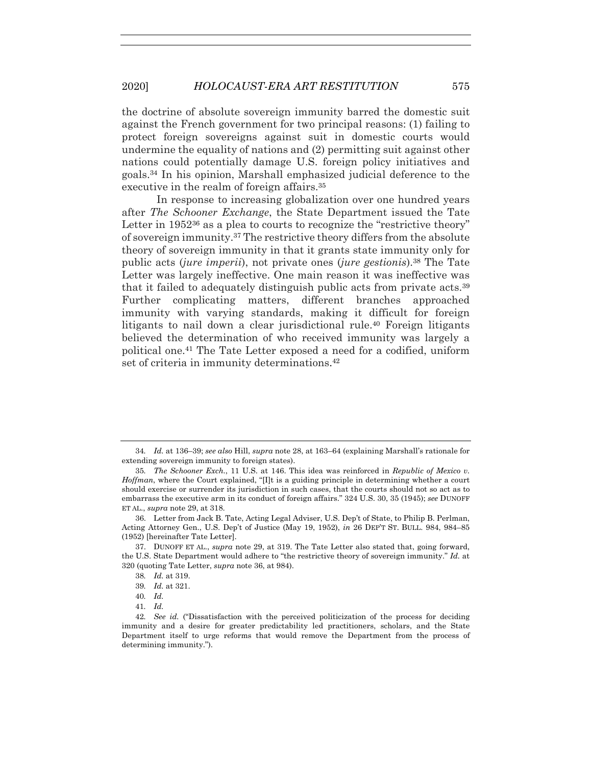the doctrine of absolute sovereign immunity barred the domestic suit against the French government for two principal reasons: (1) failing to protect foreign sovereigns against suit in domestic courts would undermine the equality of nations and (2) permitting suit against other nations could potentially damage U.S. foreign policy initiatives and goals.34 In his opinion, Marshall emphasized judicial deference to the executive in the realm of foreign affairs.<sup>35</sup>

In response to increasing globalization over one hundred years after *The Schooner Exchange*, the State Department issued the Tate Letter in  $1952^{36}$  as a plea to courts to recognize the "restrictive theory" of sovereign immunity.37 The restrictive theory differs from the absolute theory of sovereign immunity in that it grants state immunity only for public acts (*jure imperii*), not private ones (*jure gestionis*).38 The Tate Letter was largely ineffective. One main reason it was ineffective was that it failed to adequately distinguish public acts from private acts.39 Further complicating matters, different branches approached immunity with varying standards, making it difficult for foreign litigants to nail down a clear jurisdictional rule.40 Foreign litigants believed the determination of who received immunity was largely a political one.41 The Tate Letter exposed a need for a codified, uniform set of criteria in immunity determinations.<sup>42</sup>

<sup>34</sup>*. Id.* at 136–39; *see also* Hill, *supra* note 28, at 163–64 (explaining Marshall's rationale for extending sovereign immunity to foreign states).

<sup>35</sup>*. The Schooner Exch.*, 11 U.S. at 146. This idea was reinforced in *Republic of Mexico v. Hoffman*, where the Court explained, "[I]t is a guiding principle in determining whether a court should exercise or surrender its jurisdiction in such cases, that the courts should not so act as to embarrass the executive arm in its conduct of foreign affairs." 324 U.S. 30, 35 (1945); *see* DUNOFF ET AL., *supra* note 29, at 318.

 <sup>36.</sup> Letter from Jack B. Tate, Acting Legal Adviser, U.S. Dep't of State, to Philip B. Perlman, Acting Attorney Gen., U.S. Dep't of Justice (May 19, 1952), *in* 26 DEP'T ST. BULL. 984, 984–85 (1952) [hereinafter Tate Letter].

 <sup>37.</sup> DUNOFF ET AL., *supra* note 29, at 319. The Tate Letter also stated that, going forward, the U.S. State Department would adhere to "the restrictive theory of sovereign immunity." *Id.* at 320 (quoting Tate Letter, *supra* note 36, at 984).

<sup>38</sup>*. Id.* at 319.

<sup>39</sup>*. Id.* at 321.

<sup>40</sup>*. Id.* 

<sup>41</sup>*. Id.*

<sup>42</sup>*. See id.* ("Dissatisfaction with the perceived politicization of the process for deciding immunity and a desire for greater predictability led practitioners, scholars, and the State Department itself to urge reforms that would remove the Department from the process of determining immunity.").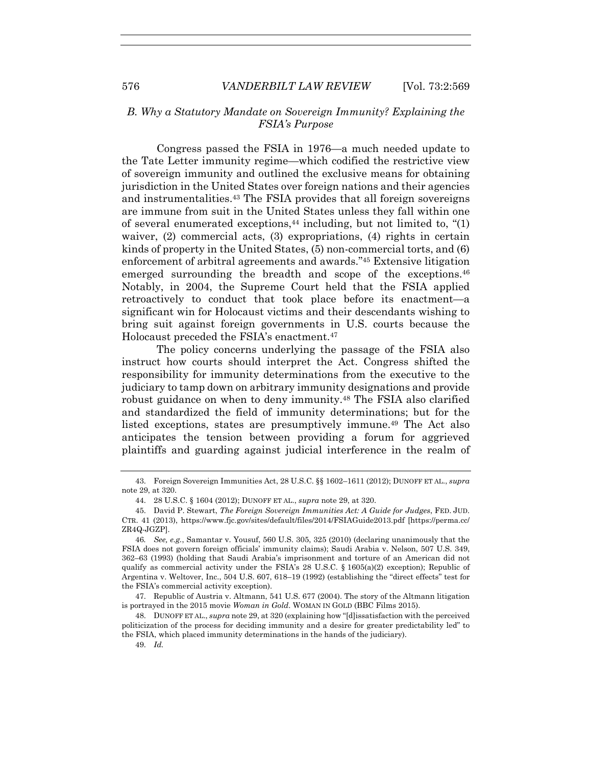# *B. Why a Statutory Mandate on Sovereign Immunity? Explaining the FSIA's Purpose*

Congress passed the FSIA in 1976—a much needed update to the Tate Letter immunity regime—which codified the restrictive view of sovereign immunity and outlined the exclusive means for obtaining jurisdiction in the United States over foreign nations and their agencies and instrumentalities.43 The FSIA provides that all foreign sovereigns are immune from suit in the United States unless they fall within one of several enumerated exceptions, $44$  including, but not limited to,  $(1)$ waiver, (2) commercial acts, (3) expropriations, (4) rights in certain kinds of property in the United States, (5) non-commercial torts, and (6) enforcement of arbitral agreements and awards."45 Extensive litigation emerged surrounding the breadth and scope of the exceptions.<sup>46</sup> Notably, in 2004, the Supreme Court held that the FSIA applied retroactively to conduct that took place before its enactment—a significant win for Holocaust victims and their descendants wishing to bring suit against foreign governments in U.S. courts because the Holocaust preceded the FSIA's enactment.47

The policy concerns underlying the passage of the FSIA also instruct how courts should interpret the Act. Congress shifted the responsibility for immunity determinations from the executive to the judiciary to tamp down on arbitrary immunity designations and provide robust guidance on when to deny immunity.48 The FSIA also clarified and standardized the field of immunity determinations; but for the listed exceptions, states are presumptively immune.49 The Act also anticipates the tension between providing a forum for aggrieved plaintiffs and guarding against judicial interference in the realm of

 <sup>43.</sup> Foreign Sovereign Immunities Act, 28 U.S.C. §§ 1602–1611 (2012); DUNOFF ET AL., *supra* note 29, at 320.

 <sup>44. 28</sup> U.S.C. § 1604 (2012); DUNOFF ET AL., *supra* note 29, at 320.

 <sup>45.</sup> David P. Stewart, *The Foreign Sovereign Immunities Act: A Guide for Judges*, FED. JUD. CTR. 41 (2013), https://www.fjc.gov/sites/default/files/2014/FSIAGuide2013.pdf [https://perma.cc/ ZR4Q-JGZP].

<sup>46</sup>*. See, e.g.*, Samantar v. Yousuf, 560 U.S. 305, 325 (2010) (declaring unanimously that the FSIA does not govern foreign officials' immunity claims); Saudi Arabia v. Nelson, 507 U.S. 349, 362–63 (1993) (holding that Saudi Arabia's imprisonment and torture of an American did not qualify as commercial activity under the FSIA's 28 U.S.C. § 1605(a)(2) exception); Republic of Argentina v. Weltover, Inc., 504 U.S. 607, 618–19 (1992) (establishing the "direct effects" test for the FSIA's commercial activity exception).

 <sup>47.</sup> Republic of Austria v. Altmann, 541 U.S. 677 (2004). The story of the Altmann litigation is portrayed in the 2015 movie *Woman in Gold*. WOMAN IN GOLD (BBC Films 2015).

 <sup>48.</sup> DUNOFF ET AL., *supra* note 29, at 320 (explaining how "[d]issatisfaction with the perceived politicization of the process for deciding immunity and a desire for greater predictability led" to the FSIA, which placed immunity determinations in the hands of the judiciary).

 <sup>49.</sup> *Id.*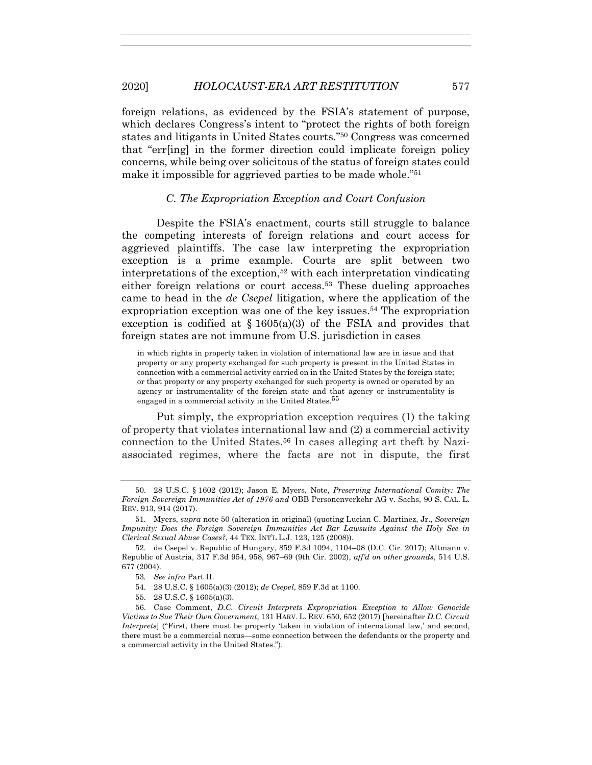foreign relations, as evidenced by the FSIA's statement of purpose, which declares Congress's intent to "protect the rights of both foreign states and litigants in United States courts."50 Congress was concerned that "err[ing] in the former direction could implicate foreign policy concerns, while being over solicitous of the status of foreign states could make it impossible for aggrieved parties to be made whole."51

### *C. The Expropriation Exception and Court Confusion*

Despite the FSIA's enactment, courts still struggle to balance the competing interests of foreign relations and court access for aggrieved plaintiffs. The case law interpreting the expropriation exception is a prime example. Courts are split between two interpretations of the exception,52 with each interpretation vindicating either foreign relations or court access.53 These dueling approaches came to head in the *de Csepel* litigation, where the application of the expropriation exception was one of the key issues.<sup>54</sup> The expropriation exception is codified at  $\S 1605(a)(3)$  of the FSIA and provides that foreign states are not immune from U.S. jurisdiction in cases

in which rights in property taken in violation of international law are in issue and that property or any property exchanged for such property is present in the United States in connection with a commercial activity carried on in the United States by the foreign state; or that property or any property exchanged for such property is owned or operated by an agency or instrumentality of the foreign state and that agency or instrumentality is engaged in a commercial activity in the United States.<sup>55</sup>

Put simply, the expropriation exception requires (1) the taking of property that violates international law and (2) a commercial activity connection to the United States.56 In cases alleging art theft by Naziassociated regimes, where the facts are not in dispute, the first

- 54. 28 U.S.C. § 1605(a)(3) (2012); *de Csepel*, 859 F.3d at 1100.
- 55. 28 U.S.C. § 1605(a)(3).

 <sup>50. 28</sup> U.S.C. § 1602 (2012); Jason E. Myers, Note, *Preserving International Comity: The Foreign Sovereign Immunities Act of 1976 and* OBB Personenverkehr AG v. Sachs, 90 S. CAL. L. REV. 913, 914 (2017).

 <sup>51.</sup> Myers, *supra* note 50 (alteration in original) (quoting Lucian C. Martinez, Jr., *Sovereign Impunity: Does the Foreign Sovereign Immunities Act Bar Lawsuits Against the Holy See in Clerical Sexual Abuse Cases?*, 44 TEX. INT'L L.J. 123, 125 (2008)).

 <sup>52.</sup> de Csepel v. Republic of Hungary, 859 F.3d 1094, 1104–08 (D.C. Cir. 2017); Altmann v. Republic of Austria, 317 F.3d 954, 958, 967–69 (9th Cir. 2002), *aff'd on other grounds*, 514 U.S. 677 (2004).

<sup>53</sup>*. See infra* Part II.

 <sup>56.</sup> Case Comment, *D.C. Circuit Interprets Expropriation Exception to Allow Genocide Victims to Sue Their Own Government*, 131 HARV. L. REV. 650, 652 (2017) [hereinafter *D.C. Circuit Interprets*] ("First, there must be property 'taken in violation of international law,' and second, there must be a commercial nexus—some connection between the defendants or the property and a commercial activity in the United States.").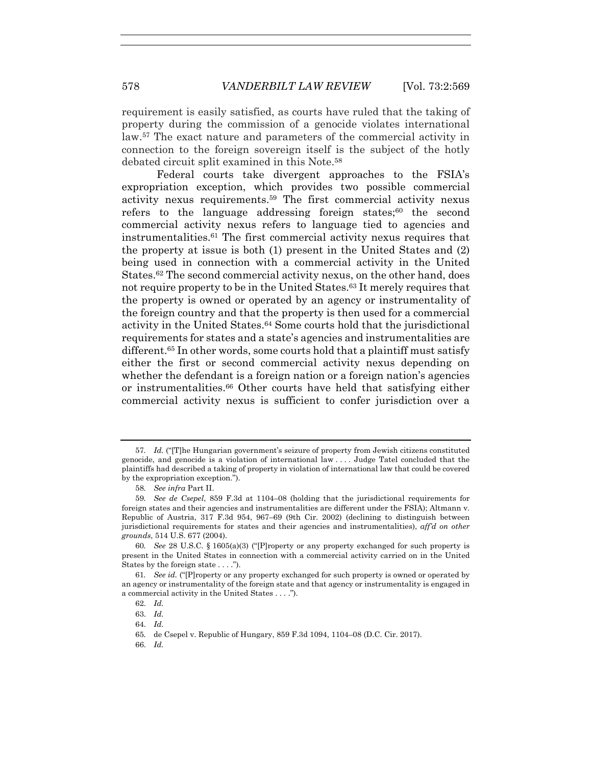requirement is easily satisfied, as courts have ruled that the taking of property during the commission of a genocide violates international law.57 The exact nature and parameters of the commercial activity in connection to the foreign sovereign itself is the subject of the hotly debated circuit split examined in this Note.58

Federal courts take divergent approaches to the FSIA's expropriation exception, which provides two possible commercial activity nexus requirements.59 The first commercial activity nexus refers to the language addressing foreign states; $60$  the second commercial activity nexus refers to language tied to agencies and instrumentalities.61 The first commercial activity nexus requires that the property at issue is both (1) present in the United States and (2) being used in connection with a commercial activity in the United States.62 The second commercial activity nexus, on the other hand, does not require property to be in the United States.63 It merely requires that the property is owned or operated by an agency or instrumentality of the foreign country and that the property is then used for a commercial activity in the United States.64 Some courts hold that the jurisdictional requirements for states and a state's agencies and instrumentalities are different.<sup>65</sup> In other words, some courts hold that a plaintiff must satisfy either the first or second commercial activity nexus depending on whether the defendant is a foreign nation or a foreign nation's agencies or instrumentalities.66 Other courts have held that satisfying either commercial activity nexus is sufficient to confer jurisdiction over a

<sup>57</sup>*. Id.* ("[T]he Hungarian government's seizure of property from Jewish citizens constituted genocide, and genocide is a violation of international law . . . . Judge Tatel concluded that the plaintiffs had described a taking of property in violation of international law that could be covered by the expropriation exception.").

<sup>58</sup>*. See infra* Part II.

<sup>59</sup>*. See de Csepel*, 859 F.3d at 1104–08 (holding that the jurisdictional requirements for foreign states and their agencies and instrumentalities are different under the FSIA); Altmann v. Republic of Austria, 317 F.3d 954, 967–69 (9th Cir. 2002) (declining to distinguish between jurisdictional requirements for states and their agencies and instrumentalities), *aff'd on other grounds*, 514 U.S. 677 (2004).

<sup>60</sup>*. See* 28 U.S.C. § 1605(a)(3) ("[P]roperty or any property exchanged for such property is present in the United States in connection with a commercial activity carried on in the United States by the foreign state . . . .").

<sup>61</sup>*. See id.* ("[P]roperty or any property exchanged for such property is owned or operated by an agency or instrumentality of the foreign state and that agency or instrumentality is engaged in a commercial activity in the United States . . . .").

 <sup>62.</sup> *Id.*

 <sup>63.</sup> *Id.*

 <sup>64.</sup> *Id.*

<sup>65</sup>*.* de Csepel v. Republic of Hungary, 859 F.3d 1094, 1104–08 (D.C. Cir. 2017).

 <sup>66.</sup> *Id.*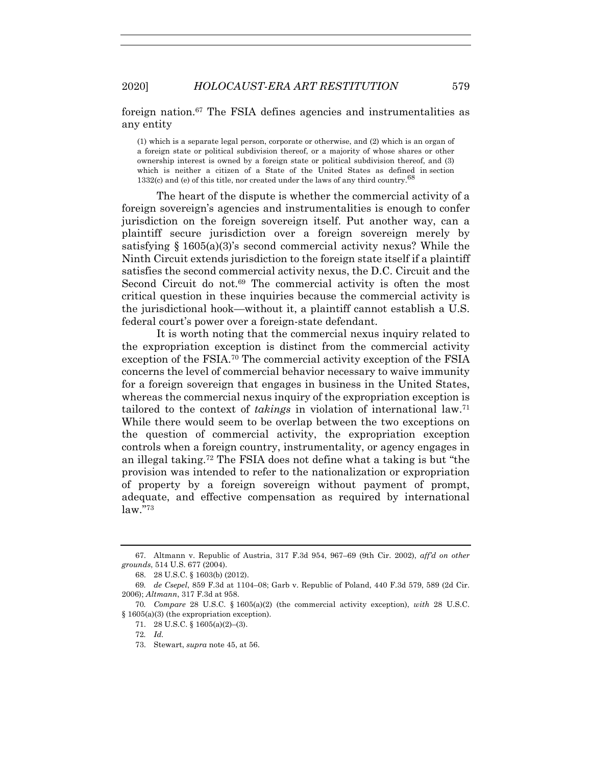# foreign nation.67 The FSIA defines agencies and instrumentalities as any entity

(1) which is a separate legal person, corporate or otherwise, and (2) which is an organ of a foreign state or political subdivision thereof, or a majority of whose shares or other ownership interest is owned by a foreign state or political subdivision thereof, and (3) which is neither a citizen of a State of the United States as defined in section 1332(c) and (e) of this title, nor created under the laws of any third country.<sup>68</sup>

The heart of the dispute is whether the commercial activity of a foreign sovereign's agencies and instrumentalities is enough to confer jurisdiction on the foreign sovereign itself. Put another way, can a plaintiff secure jurisdiction over a foreign sovereign merely by satisfying § 1605(a)(3)'s second commercial activity nexus? While the Ninth Circuit extends jurisdiction to the foreign state itself if a plaintiff satisfies the second commercial activity nexus, the D.C. Circuit and the Second Circuit do not.<sup>69</sup> The commercial activity is often the most critical question in these inquiries because the commercial activity is the jurisdictional hook—without it, a plaintiff cannot establish a U.S. federal court's power over a foreign-state defendant.

It is worth noting that the commercial nexus inquiry related to the expropriation exception is distinct from the commercial activity exception of the FSIA.70 The commercial activity exception of the FSIA concerns the level of commercial behavior necessary to waive immunity for a foreign sovereign that engages in business in the United States, whereas the commercial nexus inquiry of the expropriation exception is tailored to the context of *takings* in violation of international law.71 While there would seem to be overlap between the two exceptions on the question of commercial activity, the expropriation exception controls when a foreign country, instrumentality, or agency engages in an illegal taking.72 The FSIA does not define what a taking is but "the provision was intended to refer to the nationalization or expropriation of property by a foreign sovereign without payment of prompt, adequate, and effective compensation as required by international law."73

 <sup>67.</sup> Altmann v. Republic of Austria, 317 F.3d 954, 967–69 (9th Cir. 2002), *aff'd on other grounds*, 514 U.S. 677 (2004).

 <sup>68. 28</sup> U.S.C. § 1603(b) (2012).

<sup>69</sup>*. de Csepel*, 859 F.3d at 1104–08; Garb v. Republic of Poland, 440 F.3d 579, 589 (2d Cir. 2006); *Altmann*, 317 F.3d at 958.

<sup>70</sup>*. Compare* 28 U.S.C. § 1605(a)(2) (the commercial activity exception), *with* 28 U.S.C. § 1605(a)(3) (the expropriation exception).

 <sup>71. 28</sup> U.S.C. § 1605(a)(2)–(3).

<sup>72</sup>*. Id.*

 <sup>73.</sup> Stewart, *supra* note 45, at 56.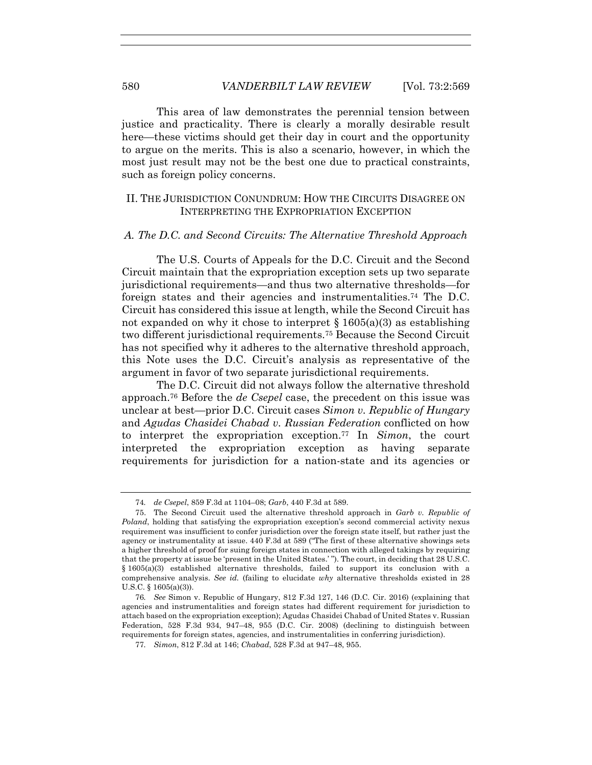This area of law demonstrates the perennial tension between justice and practicality. There is clearly a morally desirable result here—these victims should get their day in court and the opportunity to argue on the merits. This is also a scenario, however, in which the most just result may not be the best one due to practical constraints, such as foreign policy concerns.

# II. THE JURISDICTION CONUNDRUM: HOW THE CIRCUITS DISAGREE ON INTERPRETING THE EXPROPRIATION EXCEPTION

#### *A. The D.C. and Second Circuits: The Alternative Threshold Approach*

The U.S. Courts of Appeals for the D.C. Circuit and the Second Circuit maintain that the expropriation exception sets up two separate jurisdictional requirements—and thus two alternative thresholds—for foreign states and their agencies and instrumentalities.74 The D.C. Circuit has considered this issue at length, while the Second Circuit has not expanded on why it chose to interpret  $\S$  1605(a)(3) as establishing two different jurisdictional requirements.75 Because the Second Circuit has not specified why it adheres to the alternative threshold approach, this Note uses the D.C. Circuit's analysis as representative of the argument in favor of two separate jurisdictional requirements.

The D.C. Circuit did not always follow the alternative threshold approach.76 Before the *de Csepel* case, the precedent on this issue was unclear at best—prior D.C. Circuit cases *Simon v. Republic of Hungary* and *Agudas Chasidei Chabad v. Russian Federation* conflicted on how to interpret the expropriation exception.77 In *Simon*, the court interpreted the expropriation exception as having separate requirements for jurisdiction for a nation-state and its agencies or

<sup>74</sup>*. de Csepel*, 859 F.3d at 1104–08; *Garb*, 440 F.3d at 589.

 <sup>75.</sup> The Second Circuit used the alternative threshold approach in *Garb v. Republic of Poland*, holding that satisfying the expropriation exception's second commercial activity nexus requirement was insufficient to confer jurisdiction over the foreign state itself, but rather just the agency or instrumentality at issue. 440 F.3d at 589 ("The first of these alternative showings sets a higher threshold of proof for suing foreign states in connection with alleged takings by requiring that the property at issue be 'present in the United States.' "). The court, in deciding that 28 U.S.C. § 1605(a)(3) established alternative thresholds, failed to support its conclusion with a comprehensive analysis. *See id.* (failing to elucidate *why* alternative thresholds existed in 28 U.S.C. § 1605(a)(3)).

<sup>76</sup>*. See* Simon v. Republic of Hungary, 812 F.3d 127, 146 (D.C. Cir. 2016) (explaining that agencies and instrumentalities and foreign states had different requirement for jurisdiction to attach based on the expropriation exception); Agudas Chasidei Chabad of United States v. Russian Federation, 528 F.3d 934, 947–48, 955 (D.C. Cir. 2008) (declining to distinguish between requirements for foreign states, agencies, and instrumentalities in conferring jurisdiction).

<sup>77</sup>*. Simon*, 812 F.3d at 146; *Chabad*, 528 F.3d at 947–48, 955.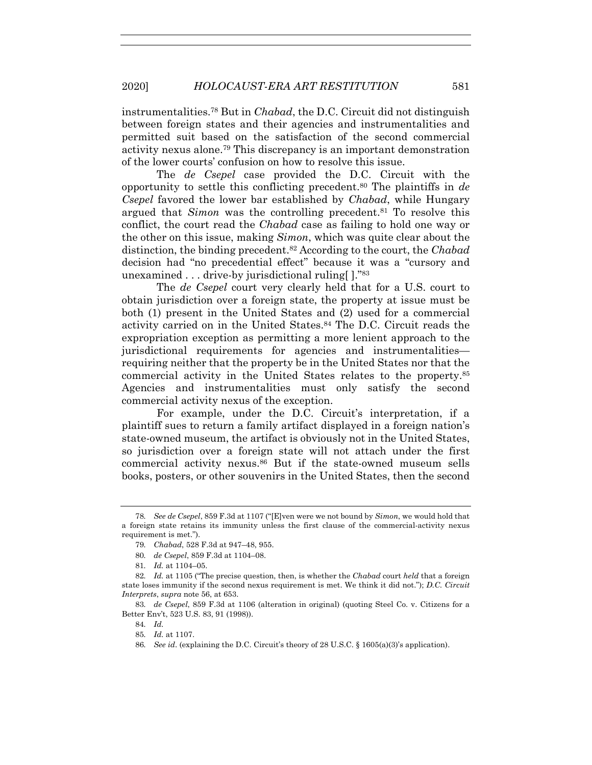instrumentalities.78 But in *Chabad*, the D.C. Circuit did not distinguish between foreign states and their agencies and instrumentalities and permitted suit based on the satisfaction of the second commercial activity nexus alone.79 This discrepancy is an important demonstration of the lower courts' confusion on how to resolve this issue.

The *de Csepel* case provided the D.C. Circuit with the opportunity to settle this conflicting precedent.80 The plaintiffs in *de Csepel* favored the lower bar established by *Chabad*, while Hungary argued that *Simon* was the controlling precedent.<sup>81</sup> To resolve this conflict, the court read the *Chabad* case as failing to hold one way or the other on this issue, making *Simon*, which was quite clear about the distinction, the binding precedent.82 According to the court, the *Chabad* decision had "no precedential effect" because it was a "cursory and unexamined . . . drive-by jurisdictional ruling[ ]."83

The *de Csepel* court very clearly held that for a U.S. court to obtain jurisdiction over a foreign state, the property at issue must be both (1) present in the United States and (2) used for a commercial activity carried on in the United States.84 The D.C. Circuit reads the expropriation exception as permitting a more lenient approach to the jurisdictional requirements for agencies and instrumentalities requiring neither that the property be in the United States nor that the commercial activity in the United States relates to the property.85 Agencies and instrumentalities must only satisfy the second commercial activity nexus of the exception.

For example, under the D.C. Circuit's interpretation, if a plaintiff sues to return a family artifact displayed in a foreign nation's state-owned museum, the artifact is obviously not in the United States, so jurisdiction over a foreign state will not attach under the first commercial activity nexus.86 But if the state-owned museum sells books, posters, or other souvenirs in the United States, then the second

83*. de Csepel*, 859 F.3d at 1106 (alteration in original) (quoting Steel Co. v. Citizens for a Better Env't, 523 U.S. 83, 91 (1998)).

84*. Id.*

<sup>78</sup>*. See de Csepel*, 859 F.3d at 1107 ("[E]ven were we not bound by *Simon*, we would hold that a foreign state retains its immunity unless the first clause of the commercial-activity nexus requirement is met.").

<sup>79</sup>*. Chabad*, 528 F.3d at 947–48, 955.

<sup>80</sup>*. de Csepel*, 859 F.3d at 1104–08.

<sup>81</sup>*. Id.* at 1104–05.

<sup>82</sup>*. Id.* at 1105 ("The precise question, then, is whether the *Chabad* court *held* that a foreign state loses immunity if the second nexus requirement is met. We think it did not."); *D.C. Circuit Interprets*, *supra* note 56, at 653.

<sup>85</sup>*. Id.* at 1107.

<sup>86</sup>*. See id*. (explaining the D.C. Circuit's theory of 28 U.S.C. § 1605(a)(3)'s application).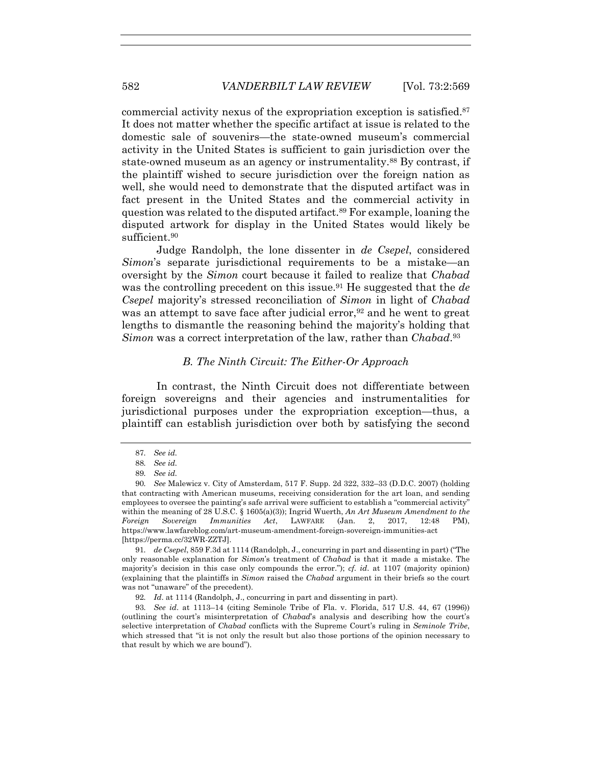commercial activity nexus of the expropriation exception is satisfied.87 It does not matter whether the specific artifact at issue is related to the domestic sale of souvenirs—the state-owned museum's commercial activity in the United States is sufficient to gain jurisdiction over the state-owned museum as an agency or instrumentality.<sup>88</sup> By contrast, if the plaintiff wished to secure jurisdiction over the foreign nation as well, she would need to demonstrate that the disputed artifact was in fact present in the United States and the commercial activity in question was related to the disputed artifact.89 For example, loaning the disputed artwork for display in the United States would likely be sufficient.<sup>90</sup>

Judge Randolph, the lone dissenter in *de Csepel*, considered *Simon*'s separate jurisdictional requirements to be a mistake—an oversight by the *Simon* court because it failed to realize that *Chabad* was the controlling precedent on this issue.<sup>91</sup> He suggested that the *de Csepel* majority's stressed reconciliation of *Simon* in light of *Chabad* was an attempt to save face after judicial error,  $92$  and he went to great lengths to dismantle the reasoning behind the majority's holding that *Simon* was a correct interpretation of the law, rather than *Chabad*.93

## *B. The Ninth Circuit: The Either-Or Approach*

In contrast, the Ninth Circuit does not differentiate between foreign sovereigns and their agencies and instrumentalities for jurisdictional purposes under the expropriation exception—thus, a plaintiff can establish jurisdiction over both by satisfying the second

91*. de Csepel*, 859 F.3d at 1114 (Randolph, J., concurring in part and dissenting in part) ("The only reasonable explanation for *Simon*'s treatment of *Chabad* is that it made a mistake. The majority's decision in this case only compounds the error."); *cf*. *id*. at 1107 (majority opinion) (explaining that the plaintiffs in *Simon* raised the *Chabad* argument in their briefs so the court was not "unaware" of the precedent).

<sup>87</sup>*. See id.*

<sup>88</sup>*. See id.*

<sup>89</sup>*. See id.*

<sup>90</sup>*. See* Malewicz v. City of Amsterdam, 517 F. Supp. 2d 322, 332–33 (D.D.C. 2007) (holding that contracting with American museums, receiving consideration for the art loan, and sending employees to oversee the painting's safe arrival were sufficient to establish a "commercial activity" within the meaning of 28 U.S.C. § 1605(a)(3)); Ingrid Wuerth, *An Art Museum Amendment to the Foreign Sovereign Immunities Act*, LAWFARE (Jan. 2, 2017, 12:48 PM), https://www.lawfareblog.com/art-museum-amendment-foreign-sovereign-immunities-act [https://perma.cc/32WR-ZZTJ].

<sup>92</sup>*. Id*. at 1114 (Randolph, J., concurring in part and dissenting in part).

<sup>93</sup>*. See id*. at 1113–14 (citing Seminole Tribe of Fla. v. Florida, 517 U.S. 44, 67 (1996)) (outlining the court's misinterpretation of *Chabad*'s analysis and describing how the court's selective interpretation of *Chabad* conflicts with the Supreme Court's ruling in *Seminole Tribe*, which stressed that "it is not only the result but also those portions of the opinion necessary to that result by which we are bound").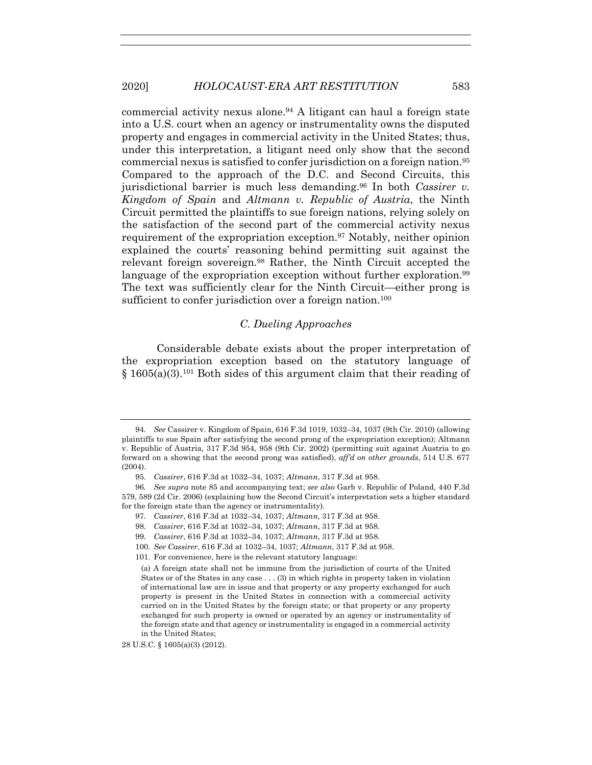commercial activity nexus alone.94 A litigant can haul a foreign state into a U.S. court when an agency or instrumentality owns the disputed property and engages in commercial activity in the United States; thus, under this interpretation, a litigant need only show that the second commercial nexus is satisfied to confer jurisdiction on a foreign nation.95 Compared to the approach of the D.C. and Second Circuits, this jurisdictional barrier is much less demanding.96 In both *Cassirer v. Kingdom of Spain* and *Altmann v. Republic of Austria*, the Ninth Circuit permitted the plaintiffs to sue foreign nations, relying solely on the satisfaction of the second part of the commercial activity nexus requirement of the expropriation exception.97 Notably, neither opinion explained the courts' reasoning behind permitting suit against the relevant foreign sovereign.98 Rather, the Ninth Circuit accepted the language of the expropriation exception without further exploration.<sup>99</sup> The text was sufficiently clear for the Ninth Circuit—either prong is sufficient to confer jurisdiction over a foreign nation.<sup>100</sup>

# *C. Dueling Approaches*

Considerable debate exists about the proper interpretation of the expropriation exception based on the statutory language of  $§$  1605(a)(3).<sup>101</sup> Both sides of this argument claim that their reading of

<sup>94</sup>*. See* Cassirer v. Kingdom of Spain, 616 F.3d 1019, 1032–34, 1037 (9th Cir. 2010) (allowing plaintiffs to sue Spain after satisfying the second prong of the expropriation exception); Altmann v. Republic of Austria, 317 F.3d 954, 958 (9th Cir. 2002) (permitting suit against Austria to go forward on a showing that the second prong was satisfied), *aff'd on other grounds*, 514 U.S. 677 (2004).

<sup>95</sup>*. Cassirer*, 616 F.3d at 1032–34, 1037; *Altmann*, 317 F.3d at 958.

<sup>96</sup>*. See supra* note 85 and accompanying text; *see also* Garb v. Republic of Poland, 440 F.3d 579, 589 (2d Cir. 2006) (explaining how the Second Circuit's interpretation sets a higher standard for the foreign state than the agency or instrumentality).

<sup>97</sup>*. Cassirer*, 616 F.3d at 1032–34, 1037; *Altmann*, 317 F.3d at 958.

<sup>98</sup>*. Cassirer*, 616 F.3d at 1032–34, 1037; *Altmann*, 317 F.3d at 958.

<sup>99</sup>*. Cassirer*, 616 F.3d at 1032–34, 1037; *Altmann*, 317 F.3d at 958.

<sup>100</sup>*. See Cassirer*, 616 F.3d at 1032–34, 1037; *Altmann*, 317 F.3d at 958.

 <sup>101.</sup> For convenience, here is the relevant statutory language:

<sup>(</sup>a) A foreign state shall not be immune from the jurisdiction of courts of the United States or of the States in any case . . . (3) in which rights in property taken in violation of international law are in issue and that property or any property exchanged for such property is present in the United States in connection with a commercial activity carried on in the United States by the foreign state; or that property or any property exchanged for such property is owned or operated by an agency or instrumentality of the foreign state and that agency or instrumentality is engaged in a commercial activity in the United States;

<sup>28</sup> U.S.C. § 1605(a)(3) (2012).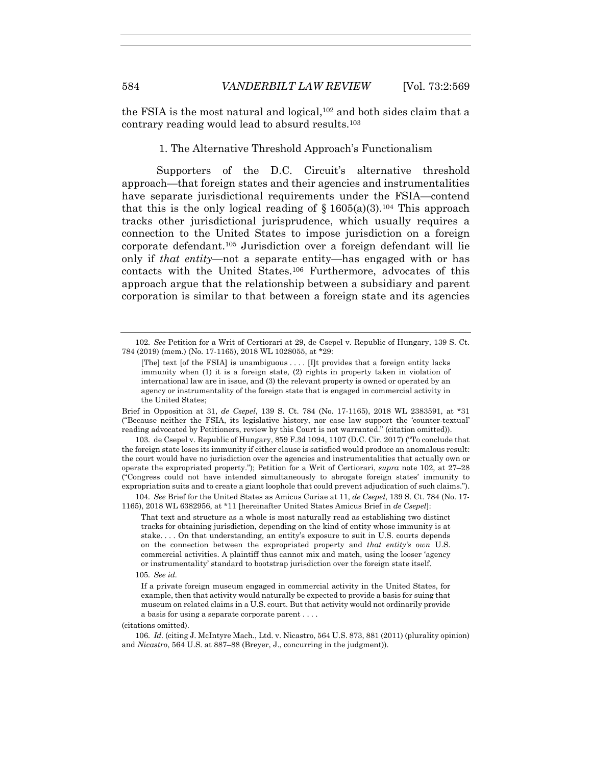the FSIA is the most natural and logical,<sup>102</sup> and both sides claim that a contrary reading would lead to absurd results.103

1. The Alternative Threshold Approach's Functionalism

Supporters of the D.C. Circuit's alternative threshold approach—that foreign states and their agencies and instrumentalities have separate jurisdictional requirements under the FSIA—contend that this is the only logical reading of  $\S 1605(a)(3).^{104}$  This approach tracks other jurisdictional jurisprudence, which usually requires a connection to the United States to impose jurisdiction on a foreign corporate defendant.105 Jurisdiction over a foreign defendant will lie only if *that entity*—not a separate entity—has engaged with or has contacts with the United States.106 Furthermore, advocates of this approach argue that the relationship between a subsidiary and parent corporation is similar to that between a foreign state and its agencies

Brief in Opposition at 31, *de Csepel*, 139 S. Ct. 784 (No. 17-1165), 2018 WL 2383591, at \*31 ("Because neither the FSIA, its legislative history, nor case law support the 'counter-textual' reading advocated by Petitioners, review by this Court is not warranted." (citation omitted)).

103*.* de Csepel v. Republic of Hungary, 859 F.3d 1094, 1107 (D.C. Cir. 2017) ("To conclude that the foreign state loses its immunity if either clause is satisfied would produce an anomalous result: the court would have no jurisdiction over the agencies and instrumentalities that actually own or operate the expropriated property."); Petition for a Writ of Certiorari, *supra* note 102, at 27–28 ("Congress could not have intended simultaneously to abrogate foreign states' immunity to expropriation suits and to create a giant loophole that could prevent adjudication of such claims.").

104*. See* Brief for the United States as Amicus Curiae at 11, *de Csepel*, 139 S. Ct. 784 (No. 17- 1165), 2018 WL 6382956, at \*11 [hereinafter United States Amicus Brief in *de Csepel*]:

That text and structure as a whole is most naturally read as establishing two distinct tracks for obtaining jurisdiction, depending on the kind of entity whose immunity is at stake. . . . On that understanding, an entity's exposure to suit in U.S. courts depends on the connection between the expropriated property and *that entity's own* U.S. commercial activities. A plaintiff thus cannot mix and match, using the looser 'agency or instrumentality' standard to bootstrap jurisdiction over the foreign state itself.

105*. See id.*

If a private foreign museum engaged in commercial activity in the United States, for example, then that activity would naturally be expected to provide a basis for suing that museum on related claims in a U.S. court. But that activity would not ordinarily provide a basis for using a separate corporate parent . . . .

106*. Id.* (citing J. McIntyre Mach., Ltd. v. Nicastro, 564 U.S. 873, 881 (2011) (plurality opinion) and *Nicastro*, 564 U.S. at 887–88 (Breyer, J., concurring in the judgment)).

<sup>102</sup>*. See* Petition for a Writ of Certiorari at 29, de Csepel v. Republic of Hungary, 139 S. Ct. 784 (2019) (mem.) (No. 17-1165), 2018 WL 1028055, at \*29:

<sup>[</sup>The] text [of the FSIA] is unambiguous . . . . [I]t provides that a foreign entity lacks immunity when (1) it is a foreign state, (2) rights in property taken in violation of international law are in issue, and (3) the relevant property is owned or operated by an agency or instrumentality of the foreign state that is engaged in commercial activity in the United States;

<sup>(</sup>citations omitted).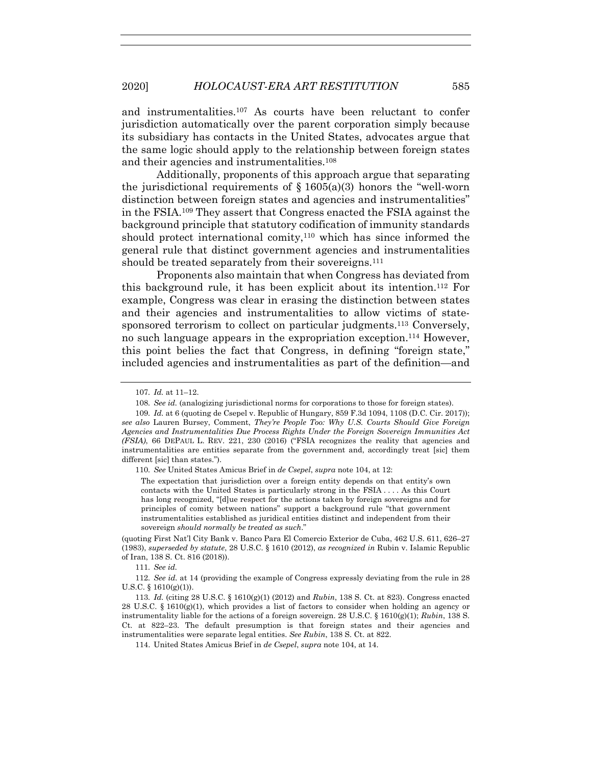and instrumentalities.107 As courts have been reluctant to confer jurisdiction automatically over the parent corporation simply because its subsidiary has contacts in the United States, advocates argue that the same logic should apply to the relationship between foreign states and their agencies and instrumentalities.108

Additionally, proponents of this approach argue that separating the jurisdictional requirements of  $\S$  1605(a)(3) honors the "well-worn distinction between foreign states and agencies and instrumentalities" in the FSIA.109 They assert that Congress enacted the FSIA against the background principle that statutory codification of immunity standards should protect international comity,110 which has since informed the general rule that distinct government agencies and instrumentalities should be treated separately from their sovereigns.<sup>111</sup>

Proponents also maintain that when Congress has deviated from this background rule, it has been explicit about its intention.112 For example, Congress was clear in erasing the distinction between states and their agencies and instrumentalities to allow victims of statesponsored terrorism to collect on particular judgments.113 Conversely, no such language appears in the expropriation exception.114 However, this point belies the fact that Congress, in defining "foreign state," included agencies and instrumentalities as part of the definition—and

110*. See* United States Amicus Brief in *de Csepel*, *supra* note 104, at 12:

The expectation that jurisdiction over a foreign entity depends on that entity's own contacts with the United States is particularly strong in the FSIA . . . . As this Court has long recognized, "[d]ue respect for the actions taken by foreign sovereigns and for principles of comity between nations" support a background rule "that government instrumentalities established as juridical entities distinct and independent from their sovereign *should normally be treated as such*."

(quoting First Nat'l City Bank v. Banco Para El Comercio Exterior de Cuba, 462 U.S. 611, 626–27 (1983), *superseded by statute*, 28 U.S.C. § 1610 (2012), *as recognized in* Rubin v. Islamic Republic of Iran, 138 S. Ct. 816 (2018)).

111*. See id.*

112*. See id.* at 14 (providing the example of Congress expressly deviating from the rule in 28 U.S.C.  $\S$  1610(g)(1)).

<sup>107</sup>*. Id.* at 11–12.

<sup>108</sup>*. See id.* (analogizing jurisdictional norms for corporations to those for foreign states).

<sup>109</sup>*. Id.* at 6 (quoting de Csepel v. Republic of Hungary, 859 F.3d 1094, 1108 (D.C. Cir. 2017)); *see also* Lauren Bursey, Comment, *They're People Too: Why U.S. Courts Should Give Foreign Agencies and Instrumentalities Due Process Rights Under the Foreign Sovereign Immunities Act (FSIA)*, 66 DEPAUL L. REV. 221, 230 (2016) ("FSIA recognizes the reality that agencies and instrumentalities are entities separate from the government and, accordingly treat [sic] them different [sic] than states.").

<sup>113</sup>*. Id.* (citing 28 U.S.C. § 1610(g)(1) (2012) and *Rubin*, 138 S. Ct. at 823). Congress enacted 28 U.S.C. § 1610(g)(1), which provides a list of factors to consider when holding an agency or instrumentality liable for the actions of a foreign sovereign. 28 U.S.C. § 1610(g)(1); *Rubin*, 138 S. Ct. at 822–23. The default presumption is that foreign states and their agencies and instrumentalities were separate legal entities. *See Rubin*, 138 S. Ct. at 822.

 <sup>114.</sup> United States Amicus Brief in *de Csepel*, *supra* note 104, at 14.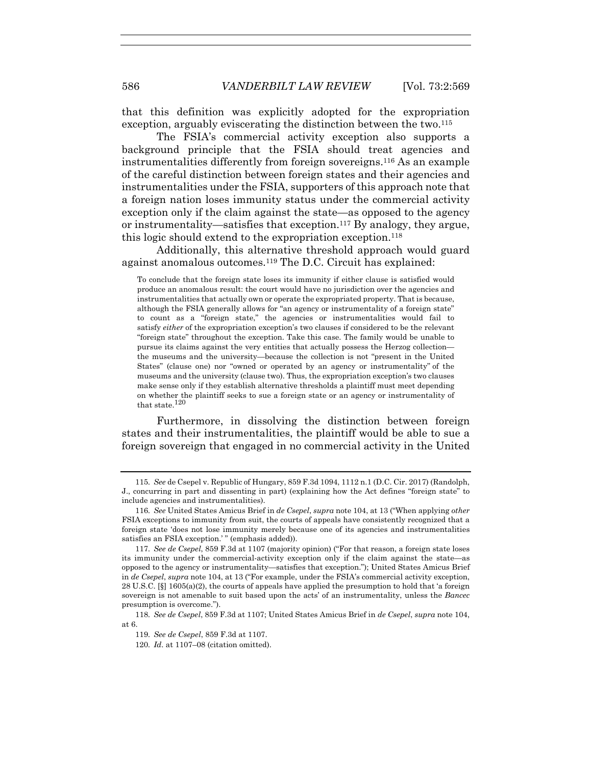that this definition was explicitly adopted for the expropriation exception, arguably eviscerating the distinction between the two.<sup>115</sup>

The FSIA's commercial activity exception also supports a background principle that the FSIA should treat agencies and instrumentalities differently from foreign sovereigns.116 As an example of the careful distinction between foreign states and their agencies and instrumentalities under the FSIA, supporters of this approach note that a foreign nation loses immunity status under the commercial activity exception only if the claim against the state—as opposed to the agency or instrumentality—satisfies that exception.<sup>117</sup> By analogy, they argue, this logic should extend to the expropriation exception.118

Additionally, this alternative threshold approach would guard against anomalous outcomes.119 The D.C. Circuit has explained:

To conclude that the foreign state loses its immunity if either clause is satisfied would produce an anomalous result: the court would have no jurisdiction over the agencies and instrumentalities that actually own or operate the expropriated property. That is because, although the FSIA generally allows for "an agency or instrumentality of a foreign state" to count as a "foreign state," the agencies or instrumentalities would fail to satisfy *either* of the expropriation exception's two clauses if considered to be the relevant "foreign state" throughout the exception. Take this case. The family would be unable to pursue its claims against the very entities that actually possess the Herzog collection the museums and the university—because the collection is not "present in the United States" (clause one) nor "owned or operated by an agency or instrumentality" of the museums and the university (clause two). Thus, the expropriation exception's two clauses make sense only if they establish alternative thresholds a plaintiff must meet depending on whether the plaintiff seeks to sue a foreign state or an agency or instrumentality of that state.120

Furthermore, in dissolving the distinction between foreign states and their instrumentalities, the plaintiff would be able to sue a foreign sovereign that engaged in no commercial activity in the United

<sup>115</sup>*. See* de Csepel v. Republic of Hungary, 859 F.3d 1094, 1112 n.1 (D.C. Cir. 2017) (Randolph, J., concurring in part and dissenting in part) (explaining how the Act defines "foreign state" to include agencies and instrumentalities).

<sup>116</sup>*. See* United States Amicus Brief in *de Csepel*, *supra* note 104, at 13 ("When applying *other* FSIA exceptions to immunity from suit, the courts of appeals have consistently recognized that a foreign state 'does not lose immunity merely because one of its agencies and instrumentalities satisfies an FSIA exception.'" (emphasis added)).

<sup>117</sup>*. See de Csepel*, 859 F.3d at 1107 (majority opinion) ("For that reason, a foreign state loses its immunity under the commercial-activity exception only if the claim against the state—as opposed to the agency or instrumentality—satisfies that exception."); United States Amicus Brief in *de Csepel*, *supra* note 104, at 13 ("For example, under the FSIA's commercial activity exception, 28 U.S.C. [§] 1605(a)(2), the courts of appeals have applied the presumption to hold that 'a foreign sovereign is not amenable to suit based upon the acts' of an instrumentality, unless the *Bancec* presumption is overcome.").

<sup>118</sup>*. See de Csepel*, 859 F.3d at 1107; United States Amicus Brief in *de Csepel*, *supra* note 104, at 6.

<sup>119</sup>*. See de Csepel*, 859 F.3d at 1107.

<sup>120</sup>*. Id*. at 1107–08 (citation omitted).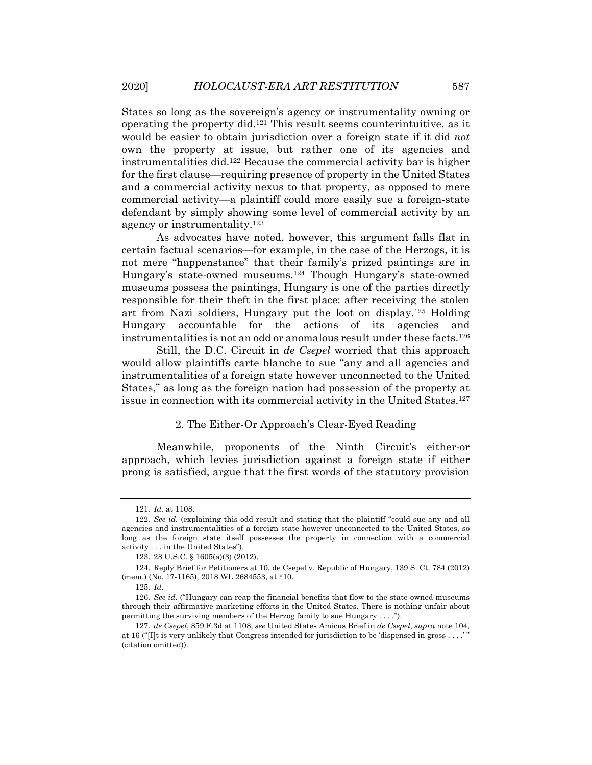States so long as the sovereign's agency or instrumentality owning or operating the property did.121 This result seems counterintuitive, as it would be easier to obtain jurisdiction over a foreign state if it did *not* own the property at issue, but rather one of its agencies and instrumentalities did.122 Because the commercial activity bar is higher for the first clause—requiring presence of property in the United States and a commercial activity nexus to that property, as opposed to mere commercial activity—a plaintiff could more easily sue a foreign-state defendant by simply showing some level of commercial activity by an agency or instrumentality.123

As advocates have noted, however, this argument falls flat in certain factual scenarios—for example, in the case of the Herzogs, it is not mere "happenstance" that their family's prized paintings are in Hungary's state-owned museums.124 Though Hungary's state-owned museums possess the paintings, Hungary is one of the parties directly responsible for their theft in the first place: after receiving the stolen art from Nazi soldiers, Hungary put the loot on display.125 Holding Hungary accountable for the actions of its agencies and instrumentalities is not an odd or anomalous result under these facts.126

Still, the D.C. Circuit in *de Csepel* worried that this approach would allow plaintiffs carte blanche to sue "any and all agencies and instrumentalities of a foreign state however unconnected to the United States," as long as the foreign nation had possession of the property at issue in connection with its commercial activity in the United States.127

# 2. The Either-Or Approach's Clear-Eyed Reading

Meanwhile, proponents of the Ninth Circuit's either-or approach, which levies jurisdiction against a foreign state if either prong is satisfied, argue that the first words of the statutory provision

<sup>121</sup>*. Id.* at 1108.

<sup>122</sup>*. See id.* (explaining this odd result and stating that the plaintiff "could sue any and all agencies and instrumentalities of a foreign state however unconnected to the United States, so long as the foreign state itself possesses the property in connection with a commercial activity . . . in the United States").

 <sup>123. 28</sup> U.S.C. § 1605(a)(3) (2012).

 <sup>124.</sup> Reply Brief for Petitioners at 10, de Csepel v. Republic of Hungary, 139 S. Ct. 784 (2012) (mem.) (No. 17-1165), 2018 WL 2684553, at \*10.

<sup>125</sup>*. Id*.

<sup>126</sup>*. See id.* ("Hungary can reap the financial benefits that flow to the state-owned museums through their affirmative marketing efforts in the United States. There is nothing unfair about permitting the surviving members of the Herzog family to sue Hungary . . . .").

<sup>127</sup>*. de Csepel*, 859 F.3d at 1108; *see* United States Amicus Brief in *de Csepel*, *supra* note 104, at 16 ("[I]t is very unlikely that Congress intended for jurisdiction to be 'dispensed in gross . . . .' " (citation omitted)).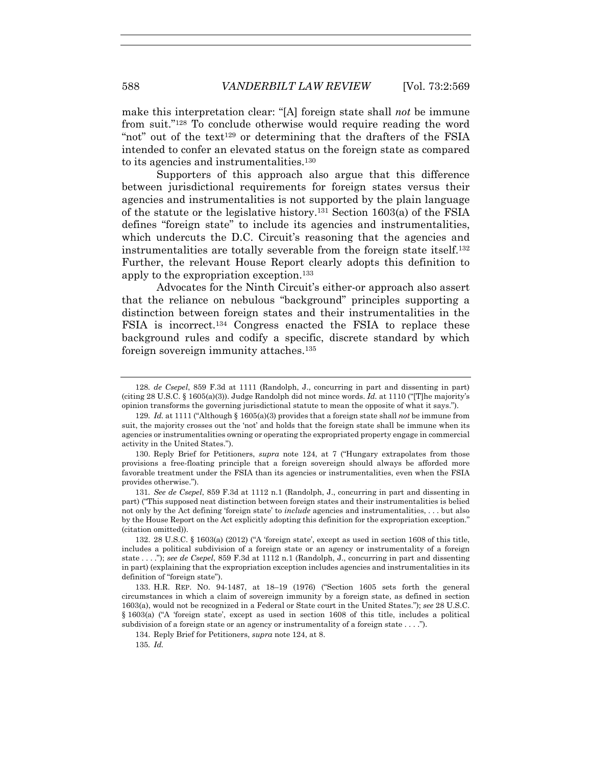make this interpretation clear: "[A] foreign state shall *not* be immune from suit."128 To conclude otherwise would require reading the word "not" out of the text<sup>129</sup> or determining that the drafters of the FSIA intended to confer an elevated status on the foreign state as compared to its agencies and instrumentalities.130

Supporters of this approach also argue that this difference between jurisdictional requirements for foreign states versus their agencies and instrumentalities is not supported by the plain language of the statute or the legislative history.131 Section 1603(a) of the FSIA defines "foreign state" to include its agencies and instrumentalities, which undercuts the D.C. Circuit's reasoning that the agencies and instrumentalities are totally severable from the foreign state itself.132 Further, the relevant House Report clearly adopts this definition to apply to the expropriation exception.133

Advocates for the Ninth Circuit's either-or approach also assert that the reliance on nebulous "background" principles supporting a distinction between foreign states and their instrumentalities in the FSIA is incorrect.134 Congress enacted the FSIA to replace these background rules and codify a specific, discrete standard by which foreign sovereign immunity attaches.135

<sup>128</sup>*. de Csepel*, 859 F.3d at 1111 (Randolph, J., concurring in part and dissenting in part) (citing 28 U.S.C. § 1605(a)(3)). Judge Randolph did not mince words. *Id.* at 1110 ("[T]he majority's opinion transforms the governing jurisdictional statute to mean the opposite of what it says.").

<sup>129</sup>*. Id.* at 1111 ("Although § 1605(a)(3) provides that a foreign state shall *not* be immune from suit, the majority crosses out the 'not' and holds that the foreign state shall be immune when its agencies or instrumentalities owning or operating the expropriated property engage in commercial activity in the United States.").

 <sup>130.</sup> Reply Brief for Petitioners, *supra* note 124, at 7 ("Hungary extrapolates from those provisions a free-floating principle that a foreign sovereign should always be afforded more favorable treatment under the FSIA than its agencies or instrumentalities, even when the FSIA provides otherwise.").

<sup>131</sup>*. See de Csepel*, 859 F.3d at 1112 n.1 (Randolph, J., concurring in part and dissenting in part) ("This supposed neat distinction between foreign states and their instrumentalities is belied not only by the Act defining 'foreign state' to *include* agencies and instrumentalities, . . . but also by the House Report on the Act explicitly adopting this definition for the expropriation exception." (citation omitted)).

 <sup>132. 28</sup> U.S.C. § 1603(a) (2012) ("A 'foreign state', except as used in section 1608 of this title, includes a political subdivision of a foreign state or an agency or instrumentality of a foreign state . . . ."); *see de Csepel*, 859 F.3d at 1112 n.1 (Randolph, J., concurring in part and dissenting in part) (explaining that the expropriation exception includes agencies and instrumentalities in its definition of "foreign state").

 <sup>133.</sup> H.R. REP. NO. 94-1487, at 18–19 (1976) ("Section 1605 sets forth the general circumstances in which a claim of sovereign immunity by a foreign state, as defined in section 1603(a), would not be recognized in a Federal or State court in the United States."); *see* 28 U.S.C. § 1603(a) ("A 'foreign state', except as used in section 1608 of this title, includes a political subdivision of a foreign state or an agency or instrumentality of a foreign state . . . .").

 <sup>134.</sup> Reply Brief for Petitioners, *supra* note 124, at 8.

<sup>135</sup>*. Id.*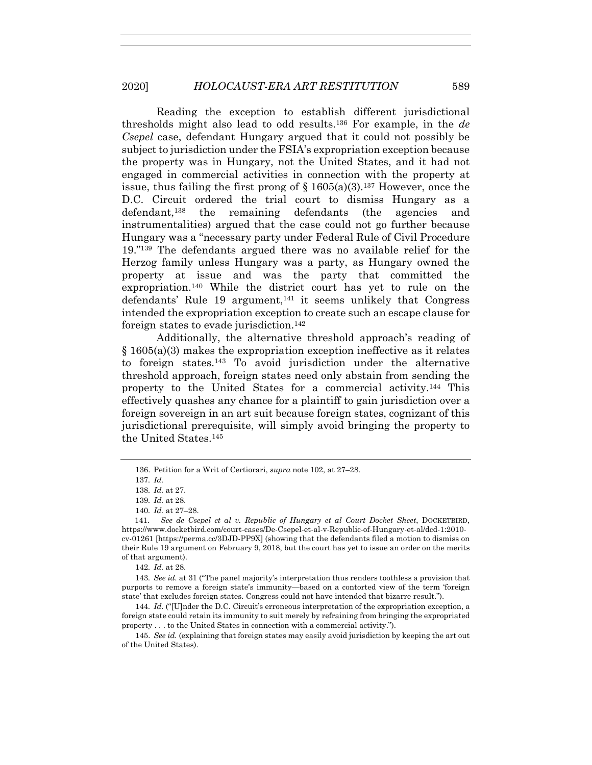Reading the exception to establish different jurisdictional thresholds might also lead to odd results.136 For example, in the *de Csepel* case, defendant Hungary argued that it could not possibly be subject to jurisdiction under the FSIA's expropriation exception because the property was in Hungary, not the United States, and it had not engaged in commercial activities in connection with the property at issue, thus failing the first prong of  $\S 1605(a)(3)$ .<sup>137</sup> However, once the D.C. Circuit ordered the trial court to dismiss Hungary as a defendant,138 the remaining defendants (the agencies and instrumentalities) argued that the case could not go further because Hungary was a "necessary party under Federal Rule of Civil Procedure 19."139 The defendants argued there was no available relief for the Herzog family unless Hungary was a party, as Hungary owned the property at issue and was the party that committed the expropriation.140 While the district court has yet to rule on the defendants' Rule 19 argument, $141$  it seems unlikely that Congress intended the expropriation exception to create such an escape clause for foreign states to evade jurisdiction.<sup>142</sup>

Additionally, the alternative threshold approach's reading of § 1605(a)(3) makes the expropriation exception ineffective as it relates to foreign states.143 To avoid jurisdiction under the alternative threshold approach, foreign states need only abstain from sending the property to the United States for a commercial activity.144 This effectively quashes any chance for a plaintiff to gain jurisdiction over a foreign sovereign in an art suit because foreign states, cognizant of this jurisdictional prerequisite, will simply avoid bringing the property to the United States.145

140*. Id.* at 27–28.

 141. *See de Csepel et al v. Republic of Hungary et al Court Docket Sheet*, DOCKETBIRD, https://www.docketbird.com/court-cases/De-Csepel-et-al-v-Republic-of-Hungary-et-al/dcd-1:2010 cv-01261 [https://perma.cc/3DJD-PP9X] (showing that the defendants filed a motion to dismiss on their Rule 19 argument on February 9, 2018, but the court has yet to issue an order on the merits of that argument).

142*. Id.* at 28.

143*. See id.* at 31 ("The panel majority's interpretation thus renders toothless a provision that purports to remove a foreign state's immunity—based on a contorted view of the term 'foreign state' that excludes foreign states. Congress could not have intended that bizarre result.").

144*. Id.* ("[U]nder the D.C. Circuit's erroneous interpretation of the expropriation exception, a foreign state could retain its immunity to suit merely by refraining from bringing the expropriated property . . . to the United States in connection with a commercial activity.").

 145. *See id.* (explaining that foreign states may easily avoid jurisdiction by keeping the art out of the United States).

 <sup>136.</sup> Petition for a Writ of Certiorari, *supra* note 102, at 27–28.

<sup>137</sup>*. Id.*

<sup>138</sup>*. Id.* at 27.

<sup>139</sup>*. Id.* at 28.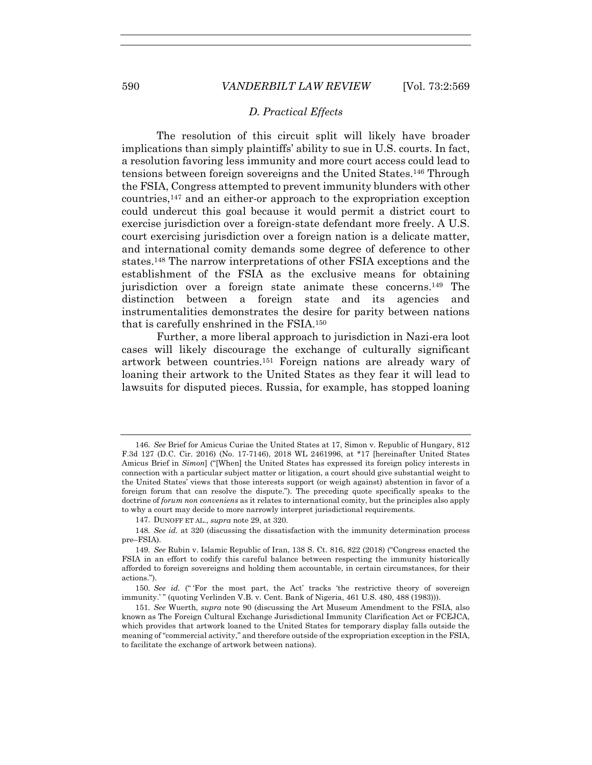## *D. Practical Effects*

The resolution of this circuit split will likely have broader implications than simply plaintiffs' ability to sue in U.S. courts. In fact, a resolution favoring less immunity and more court access could lead to tensions between foreign sovereigns and the United States.146 Through the FSIA, Congress attempted to prevent immunity blunders with other countries,147 and an either-or approach to the expropriation exception could undercut this goal because it would permit a district court to exercise jurisdiction over a foreign-state defendant more freely. A U.S. court exercising jurisdiction over a foreign nation is a delicate matter, and international comity demands some degree of deference to other states.148 The narrow interpretations of other FSIA exceptions and the establishment of the FSIA as the exclusive means for obtaining jurisdiction over a foreign state animate these concerns.149 The distinction between a foreign state and its agencies and instrumentalities demonstrates the desire for parity between nations that is carefully enshrined in the FSIA.150

Further, a more liberal approach to jurisdiction in Nazi-era loot cases will likely discourage the exchange of culturally significant artwork between countries.151 Foreign nations are already wary of loaning their artwork to the United States as they fear it will lead to lawsuits for disputed pieces. Russia, for example, has stopped loaning

<sup>146</sup>*. See* Brief for Amicus Curiae the United States at 17, Simon v. Republic of Hungary, 812 F.3d 127 (D.C. Cir. 2016) (No. 17-7146), 2018 WL 2461996, at \*17 [hereinafter United States Amicus Brief in *Simon*] ("[When] the United States has expressed its foreign policy interests in connection with a particular subject matter or litigation, a court should give substantial weight to the United States' views that those interests support (or weigh against) abstention in favor of a foreign forum that can resolve the dispute."). The preceding quote specifically speaks to the doctrine of *forum non conveniens* as it relates to international comity, but the principles also apply to why a court may decide to more narrowly interpret jurisdictional requirements.

 <sup>147.</sup> DUNOFF ET AL., *supra* note 29, at 320.

<sup>148</sup>*. See id.* at 320 (discussing the dissatisfaction with the immunity determination process pre–FSIA).

<sup>149</sup>*. See* Rubin v. Islamic Republic of Iran, 138 S. Ct. 816, 822 (2018) ("Congress enacted the FSIA in an effort to codify this careful balance between respecting the immunity historically afforded to foreign sovereigns and holding them accountable, in certain circumstances, for their actions.").

<sup>150</sup>*. See id.* (" 'For the most part, the Act' tracks 'the restrictive theory of sovereign immunity.'" (quoting Verlinden V.B. v. Cent. Bank of Nigeria, 461 U.S. 480, 488 (1983))).

<sup>151</sup>*. See* Wuerth, *supra* note 90 (discussing the Art Museum Amendment to the FSIA, also known as The Foreign Cultural Exchange Jurisdictional Immunity Clarification Act or FCEJCA, which provides that artwork loaned to the United States for temporary display falls outside the meaning of "commercial activity," and therefore outside of the expropriation exception in the FSIA, to facilitate the exchange of artwork between nations).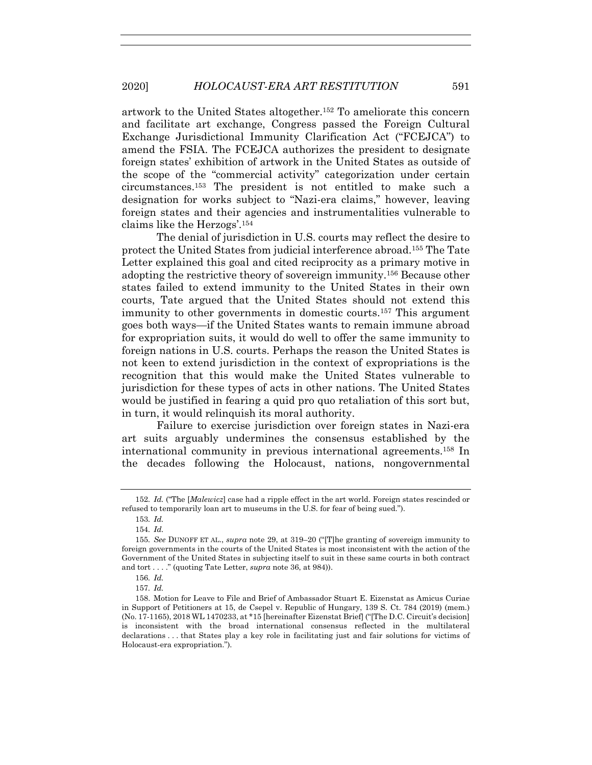artwork to the United States altogether.152 To ameliorate this concern and facilitate art exchange, Congress passed the Foreign Cultural Exchange Jurisdictional Immunity Clarification Act ("FCEJCA") to amend the FSIA. The FCEJCA authorizes the president to designate foreign states' exhibition of artwork in the United States as outside of the scope of the "commercial activity" categorization under certain circumstances.153 The president is not entitled to make such a designation for works subject to "Nazi-era claims," however, leaving foreign states and their agencies and instrumentalities vulnerable to claims like the Herzogs'.154

The denial of jurisdiction in U.S. courts may reflect the desire to protect the United States from judicial interference abroad.155 The Tate Letter explained this goal and cited reciprocity as a primary motive in adopting the restrictive theory of sovereign immunity.156 Because other states failed to extend immunity to the United States in their own courts, Tate argued that the United States should not extend this immunity to other governments in domestic courts.157 This argument goes both ways—if the United States wants to remain immune abroad for expropriation suits, it would do well to offer the same immunity to foreign nations in U.S. courts. Perhaps the reason the United States is not keen to extend jurisdiction in the context of expropriations is the recognition that this would make the United States vulnerable to jurisdiction for these types of acts in other nations. The United States would be justified in fearing a quid pro quo retaliation of this sort but, in turn, it would relinquish its moral authority.

Failure to exercise jurisdiction over foreign states in Nazi-era art suits arguably undermines the consensus established by the international community in previous international agreements.158 In the decades following the Holocaust, nations, nongovernmental

<sup>152</sup>*. Id.* ("The [*Malewicz*] case had a ripple effect in the art world. Foreign states rescinded or refused to temporarily loan art to museums in the U.S. for fear of being sued.").

<sup>153</sup>*. Id.*

<sup>154</sup>*. Id.* 

<sup>155</sup>*. See* DUNOFF ET AL., *supra* note 29, at 319–20 ("[T]he granting of sovereign immunity to foreign governments in the courts of the United States is most inconsistent with the action of the Government of the United States in subjecting itself to suit in these same courts in both contract and tort . . . ." (quoting Tate Letter, *supra* note 36, at 984)).

<sup>156</sup>*. Id.*

<sup>157</sup>*. Id.*

 <sup>158.</sup> Motion for Leave to File and Brief of Ambassador Stuart E. Eizenstat as Amicus Curiae in Support of Petitioners at 15, de Csepel v. Republic of Hungary, 139 S. Ct. 784 (2019) (mem.) (No. 17-1165), 2018 WL 1470233, at \*15 [hereinafter Eizenstat Brief] ("[The D.C. Circuit's decision] is inconsistent with the broad international consensus reflected in the multilateral declarations . . . that States play a key role in facilitating just and fair solutions for victims of Holocaust-era expropriation.").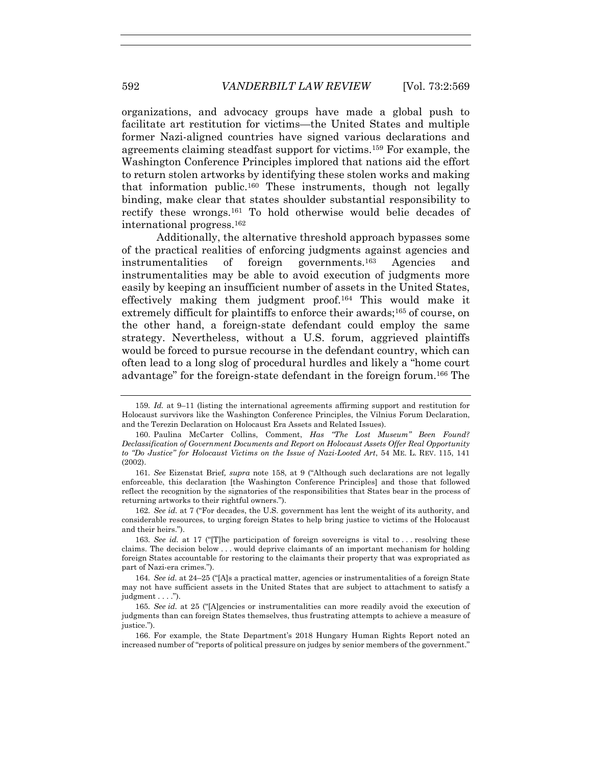organizations, and advocacy groups have made a global push to facilitate art restitution for victims—the United States and multiple former Nazi-aligned countries have signed various declarations and agreements claiming steadfast support for victims.159 For example, the Washington Conference Principles implored that nations aid the effort to return stolen artworks by identifying these stolen works and making that information public.160 These instruments, though not legally binding, make clear that states shoulder substantial responsibility to rectify these wrongs.161 To hold otherwise would belie decades of international progress.162

Additionally, the alternative threshold approach bypasses some of the practical realities of enforcing judgments against agencies and instrumentalities of foreign governments.163 Agencies and instrumentalities may be able to avoid execution of judgments more easily by keeping an insufficient number of assets in the United States, effectively making them judgment proof.164 This would make it extremely difficult for plaintiffs to enforce their awards;<sup>165</sup> of course, on the other hand, a foreign-state defendant could employ the same strategy. Nevertheless, without a U.S. forum, aggrieved plaintiffs would be forced to pursue recourse in the defendant country, which can often lead to a long slog of procedural hurdles and likely a "home court advantage" for the foreign-state defendant in the foreign forum.166 The

<sup>159</sup>*. Id.* at 9–11 (listing the international agreements affirming support and restitution for Holocaust survivors like the Washington Conference Principles, the Vilnius Forum Declaration, and the Terezin Declaration on Holocaust Era Assets and Related Issues).

 <sup>160.</sup> Paulina McCarter Collins, Comment, *Has "The Lost Museum" Been Found? Declassification of Government Documents and Report on Holocaust Assets Offer Real Opportunity to "Do Justice" for Holocaust Victims on the Issue of Nazi-Looted Art*, 54 ME. L. REV. 115, 141 (2002).

<sup>161</sup>*. See* Eizenstat Brief*, supra* note 158, at 9 ("Although such declarations are not legally enforceable, this declaration [the Washington Conference Principles] and those that followed reflect the recognition by the signatories of the responsibilities that States bear in the process of returning artworks to their rightful owners.").

<sup>162</sup>*. See id.* at 7 ("For decades, the U.S. government has lent the weight of its authority, and considerable resources, to urging foreign States to help bring justice to victims of the Holocaust and their heirs.").

<sup>163</sup>*. See id.* at 17 ("T]he participation of foreign sovereigns is vital to ... resolving these claims. The decision below . . . would deprive claimants of an important mechanism for holding foreign States accountable for restoring to the claimants their property that was expropriated as part of Nazi-era crimes.").

<sup>164</sup>*. See id.* at 24–25 ("[A]s a practical matter, agencies or instrumentalities of a foreign State may not have sufficient assets in the United States that are subject to attachment to satisfy a judgment  $\dots$ .").

<sup>165</sup>*. See id.* at 25 ("[A]gencies or instrumentalities can more readily avoid the execution of judgments than can foreign States themselves, thus frustrating attempts to achieve a measure of justice.").

 <sup>166.</sup> For example, the State Department's 2018 Hungary Human Rights Report noted an increased number of "reports of political pressure on judges by senior members of the government."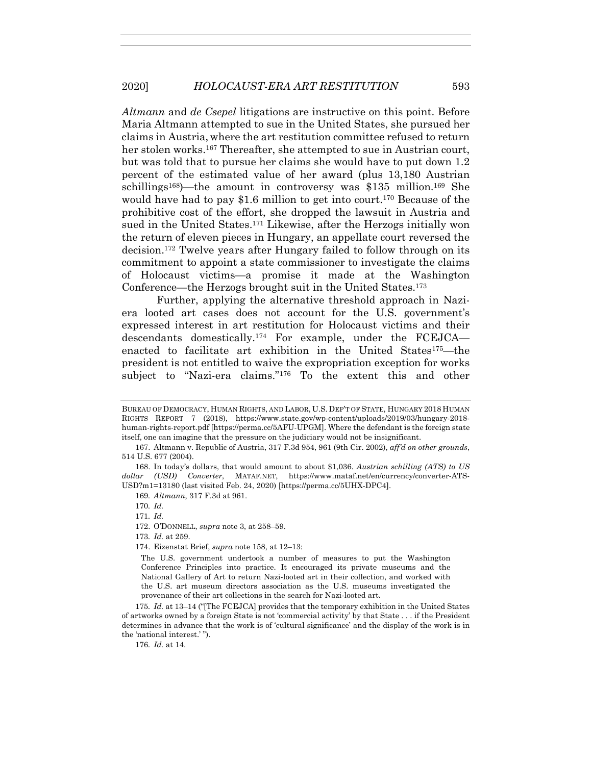*Altmann* and *de Csepel* litigations are instructive on this point. Before Maria Altmann attempted to sue in the United States, she pursued her claims in Austria,where the art restitution committee refused to return her stolen works.<sup>167</sup> Thereafter, she attempted to sue in Austrian court, but was told that to pursue her claims she would have to put down 1.2 percent of the estimated value of her award (plus 13,180 Austrian schillings<sup>168</sup>)—the amount in controversy was \$135 million.<sup>169</sup> She would have had to pay \$1.6 million to get into court.<sup>170</sup> Because of the prohibitive cost of the effort, she dropped the lawsuit in Austria and sued in the United States.171 Likewise, after the Herzogs initially won the return of eleven pieces in Hungary, an appellate court reversed the decision.172 Twelve years after Hungary failed to follow through on its commitment to appoint a state commissioner to investigate the claims of Holocaust victims—a promise it made at the Washington Conference—the Herzogs brought suit in the United States.173

Further, applying the alternative threshold approach in Naziera looted art cases does not account for the U.S. government's expressed interest in art restitution for Holocaust victims and their descendants domestically.174 For example, under the FCEJCA enacted to facilitate art exhibition in the United States175—the president is not entitled to waive the expropriation exception for works subject to "Nazi-era claims."176 To the extent this and other

173*. Id.* at 259.

175*. Id.* at 13–14 ("[The FCEJCA] provides that the temporary exhibition in the United States of artworks owned by a foreign State is not 'commercial activity' by that State . . . if the President determines in advance that the work is of 'cultural significance' and the display of the work is in the 'national interest.' ").

176*. Id.* at 14.

BUREAU OF DEMOCRACY, HUMAN RIGHTS, AND LABOR, U.S. DEP'T OF STATE, HUNGARY 2018 HUMAN RIGHTS REPORT 7 (2018), https://www.state.gov/wp-content/uploads/2019/03/hungary-2018 human-rights-report.pdf [https://perma.cc/5AFU-UPGM]. Where the defendant is the foreign state itself, one can imagine that the pressure on the judiciary would not be insignificant.

 <sup>167.</sup> Altmann v. Republic of Austria, 317 F.3d 954, 961 (9th Cir. 2002), *aff'd on other grounds*, 514 U.S. 677 (2004).

 <sup>168.</sup> In today's dollars, that would amount to about \$1,036. *Austrian schilling (ATS) to US dollar (USD) Converter*, MATAF.NET, https://www.mataf.net/en/currency/converter-ATS-USD?m1=13180 (last visited Feb. 24, 2020) [https://perma.cc/5UHX-DPC4].

<sup>169</sup>*. Altmann*, 317 F.3d at 961.

<sup>170</sup>*. Id.*

<sup>171</sup>*. Id.*

 <sup>172.</sup> O'DONNELL, *supra* note 3, at 258–59.

 <sup>174.</sup> Eizenstat Brief, *supra* note 158, at 12–13:

The U.S. government undertook a number of measures to put the Washington Conference Principles into practice. It encouraged its private museums and the National Gallery of Art to return Nazi-looted art in their collection, and worked with the U.S. art museum directors association as the U.S. museums investigated the provenance of their art collections in the search for Nazi-looted art.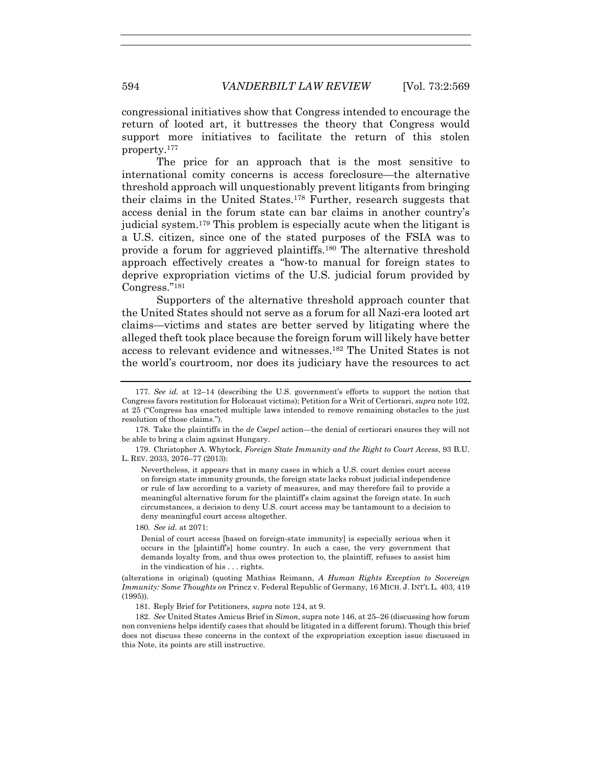congressional initiatives show that Congress intended to encourage the return of looted art, it buttresses the theory that Congress would support more initiatives to facilitate the return of this stolen property.177

The price for an approach that is the most sensitive to international comity concerns is access foreclosure—the alternative threshold approach will unquestionably prevent litigants from bringing their claims in the United States.178 Further, research suggests that access denial in the forum state can bar claims in another country's judicial system.179 This problem is especially acute when the litigant is a U.S. citizen, since one of the stated purposes of the FSIA was to provide a forum for aggrieved plaintiffs.180 The alternative threshold approach effectively creates a "how-to manual for foreign states to deprive expropriation victims of the U.S. judicial forum provided by Congress."181

Supporters of the alternative threshold approach counter that the United States should not serve as a forum for all Nazi-era looted art claims—victims and states are better served by litigating where the alleged theft took place because the foreign forum will likely have better access to relevant evidence and witnesses.182 The United States is not the world's courtroom, nor does its judiciary have the resources to act

 179. Christopher A. Whytock, *Foreign State Immunity and the Right to Court Access*, 93 B.U. L. REV. 2033, 2076–77 (2013):

Nevertheless, it appears that in many cases in which a U.S. court denies court access on foreign state immunity grounds, the foreign state lacks robust judicial independence or rule of law according to a variety of measures, and may therefore fail to provide a meaningful alternative forum for the plaintiff's claim against the foreign state. In such circumstances, a decision to deny U.S. court access may be tantamount to a decision to deny meaningful court access altogether.

180*. See id.* at 2071:

Denial of court access [based on foreign-state immunity] is especially serious when it occurs in the [plaintiff's] home country. In such a case, the very government that demands loyalty from, and thus owes protection to, the plaintiff, refuses to assist him in the vindication of his . . . rights.

(alterations in original) (quoting Mathias Reimann, *A Human Rights Exception to Sovereign Immunity: Some Thoughts on* Princz v. Federal Republic of Germany, 16 MICH. J. INT'L L. 403, 419 (1995)).

181. Reply Brief for Petitioners, *supra* note 124, at 9.

182*. See* United States Amicus Brief in *Simon*, supra note 146, at 25–26 (discussing how forum non conveniens helps identify cases that should be litigated in a different forum). Though this brief does not discuss these concerns in the context of the expropriation exception issue discussed in this Note, its points are still instructive.

<sup>177</sup>*. See id.* at 12–14 (describing the U.S. government's efforts to support the notion that Congress favors restitution for Holocaust victims); Petition for a Writ of Certiorari, *supra* note 102, at 25 ("Congress has enacted multiple laws intended to remove remaining obstacles to the just resolution of those claims.").

 <sup>178.</sup> Take the plaintiffs in the *de Csepel* action—the denial of certiorari ensures they will not be able to bring a claim against Hungary.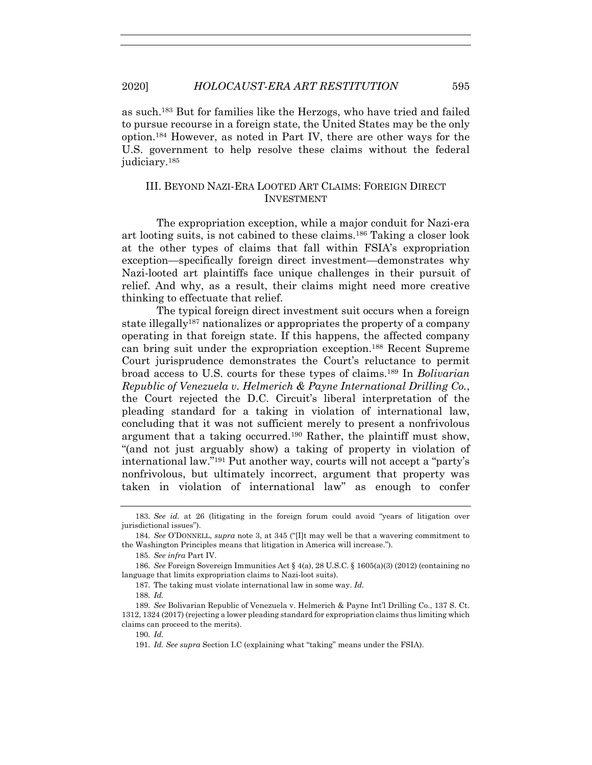as such.183 But for families like the Herzogs, who have tried and failed to pursue recourse in a foreign state, the United States may be the only option.184 However, as noted in Part IV, there are other ways for the U.S. government to help resolve these claims without the federal judiciary.185

# III. BEYOND NAZI-ERA LOOTED ART CLAIMS: FOREIGN DIRECT INVESTMENT

The expropriation exception, while a major conduit for Nazi-era art looting suits, is not cabined to these claims.186 Taking a closer look at the other types of claims that fall within FSIA's expropriation exception—specifically foreign direct investment—demonstrates why Nazi-looted art plaintiffs face unique challenges in their pursuit of relief. And why, as a result, their claims might need more creative thinking to effectuate that relief.

The typical foreign direct investment suit occurs when a foreign state illegally187 nationalizes or appropriates the property of a company operating in that foreign state. If this happens, the affected company can bring suit under the expropriation exception.188 Recent Supreme Court jurisprudence demonstrates the Court's reluctance to permit broad access to U.S. courts for these types of claims.189 In *Bolivarian Republic of Venezuela v. Helmerich & Payne International Drilling Co.*, the Court rejected the D.C. Circuit's liberal interpretation of the pleading standard for a taking in violation of international law, concluding that it was not sufficient merely to present a nonfrivolous argument that a taking occurred.<sup>190</sup> Rather, the plaintiff must show, "(and not just arguably show) a taking of property in violation of international law."191 Put another way, courts will not accept a "party's nonfrivolous, but ultimately incorrect, argument that property was taken in violation of international law" as enough to confer

<sup>183</sup>*. See id.* at 26 (litigating in the foreign forum could avoid "years of litigation over jurisdictional issues").

<sup>184</sup>*. See* O'DONNELL, *supra* note 3, at 345 ("[I]t may well be that a wavering commitment to the Washington Principles means that litigation in America will increase.").

<sup>185</sup>*. See infra* Part IV.

<sup>186</sup>*. See* Foreign Sovereign Immunities Act § 4(a), 28 U.S.C. § 1605(a)(3) (2012) (containing no language that limits expropriation claims to Nazi-loot suits).

 <sup>187.</sup> The taking must violate international law in some way. *Id.*

<sup>188</sup>*. Id.*

<sup>189</sup>*. See* Bolivarian Republic of Venezuela v. Helmerich & Payne Int'l Drilling Co., 137 S. Ct. 1312, 1324 (2017) (rejecting a lower pleading standard for expropriation claims thus limiting which claims can proceed to the merits).

<sup>190</sup>*. Id.*

<sup>191</sup>*. Id. See supra* Section I.C (explaining what "taking" means under the FSIA).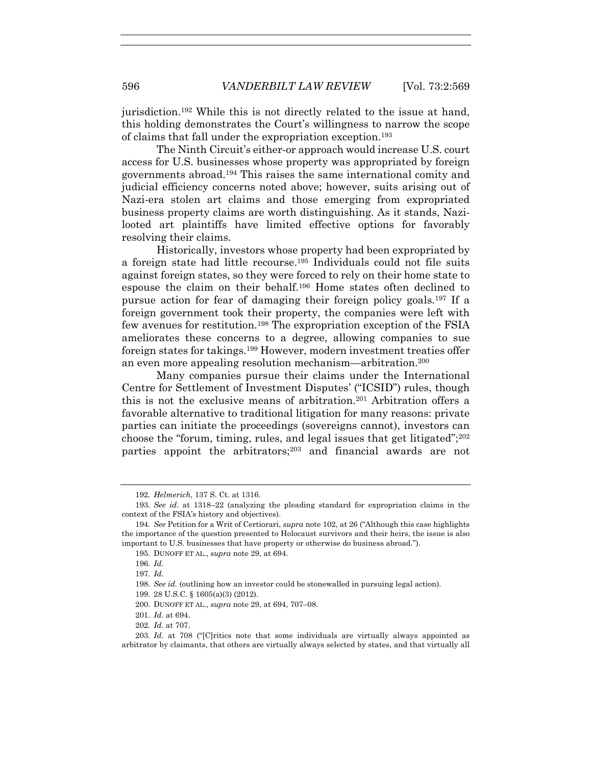jurisdiction.192 While this is not directly related to the issue at hand, this holding demonstrates the Court's willingness to narrow the scope of claims that fall under the expropriation exception.193

The Ninth Circuit's either-or approach would increase U.S. court access for U.S. businesses whose property was appropriated by foreign governments abroad.194 This raises the same international comity and judicial efficiency concerns noted above; however, suits arising out of Nazi-era stolen art claims and those emerging from expropriated business property claims are worth distinguishing. As it stands, Nazilooted art plaintiffs have limited effective options for favorably resolving their claims.

Historically, investors whose property had been expropriated by a foreign state had little recourse.195 Individuals could not file suits against foreign states, so they were forced to rely on their home state to espouse the claim on their behalf.196 Home states often declined to pursue action for fear of damaging their foreign policy goals.197 If a foreign government took their property, the companies were left with few avenues for restitution.198 The expropriation exception of the FSIA ameliorates these concerns to a degree, allowing companies to sue foreign states for takings.199 However, modern investment treaties offer an even more appealing resolution mechanism—arbitration.200

Many companies pursue their claims under the International Centre for Settlement of Investment Disputes' ("ICSID") rules, though this is not the exclusive means of arbitration.<sup>201</sup> Arbitration offers a favorable alternative to traditional litigation for many reasons: private parties can initiate the proceedings (sovereigns cannot), investors can choose the "forum, timing, rules, and legal issues that get litigated"; $^{202}$ parties appoint the arbitrators;203 and financial awards are not

202*. Id.* at 707.

<sup>192</sup>*. Helmerich*, 137 S. Ct. at 1316.

<sup>193</sup>*. See id.* at 1318–22 (analyzing the pleading standard for expropriation claims in the context of the FSIA's history and objectives).

<sup>194</sup>*. See* Petition for a Writ of Certiorari, *supra* note 102, at 26 ("Although this case highlights the importance of the question presented to Holocaust survivors and their heirs, the issue is also important to U.S. businesses that have property or otherwise do business abroad.").

 <sup>195.</sup> DUNOFF ET AL., *supra* note 29, at 694.

<sup>196</sup>*. Id.*

<sup>197</sup>*. Id.*

<sup>198</sup>*. See id.* (outlining how an investor could be stonewalled in pursuing legal action).

 <sup>199. 28</sup> U.S.C. § 1605(a)(3) (2012).

 <sup>200.</sup> DUNOFF ET AL., *supra* note 29, at 694, 707–08.

<sup>201</sup>*. Id.* at 694.

<sup>203</sup>*. Id.* at 708 ("[C]ritics note that some individuals are virtually always appointed as arbitrator by claimants, that others are virtually always selected by states, and that virtually all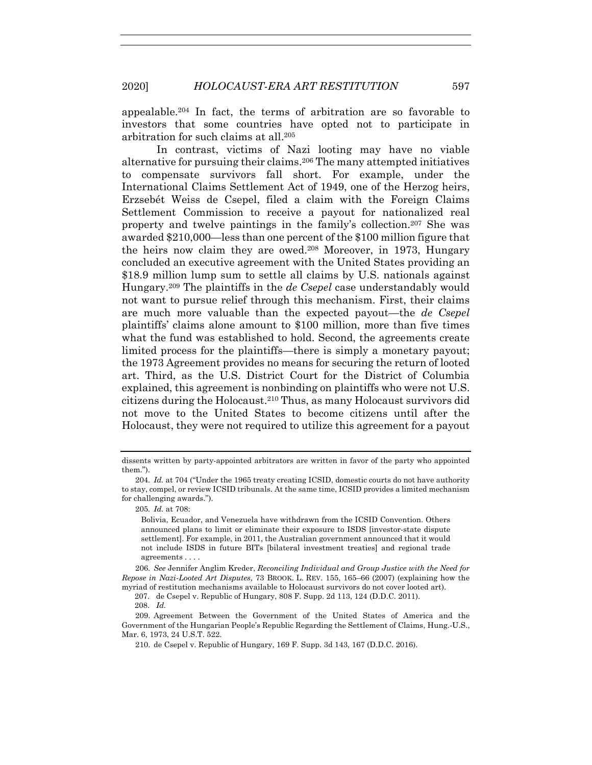appealable.204 In fact, the terms of arbitration are so favorable to investors that some countries have opted not to participate in arbitration for such claims at all.205

In contrast, victims of Nazi looting may have no viable alternative for pursuing their claims.206 The many attempted initiatives to compensate survivors fall short. For example, under the International Claims Settlement Act of 1949, one of the Herzog heirs, Erzsebét Weiss de Csepel, filed a claim with the Foreign Claims Settlement Commission to receive a payout for nationalized real property and twelve paintings in the family's collection.207 She was awarded \$210,000—less than one percent of the \$100 million figure that the heirs now claim they are owed.208 Moreover, in 1973, Hungary concluded an executive agreement with the United States providing an \$18.9 million lump sum to settle all claims by U.S. nationals against Hungary.209 The plaintiffs in the *de Csepel* case understandably would not want to pursue relief through this mechanism. First, their claims are much more valuable than the expected payout—the *de Csepel* plaintiffs' claims alone amount to \$100 million, more than five times what the fund was established to hold. Second, the agreements create limited process for the plaintiffs—there is simply a monetary payout; the 1973 Agreement provides no means for securing the return of looted art. Third, as the U.S. District Court for the District of Columbia explained, this agreement is nonbinding on plaintiffs who were not U.S. citizens during the Holocaust.210 Thus, as many Holocaust survivors did not move to the United States to become citizens until after the Holocaust, they were not required to utilize this agreement for a payout

205*. Id.* at 708:

Bolivia, Ecuador, and Venezuela have withdrawn from the ICSID Convention. Others announced plans to limit or eliminate their exposure to ISDS [investor-state dispute settlement]. For example, in 2011, the Australian government announced that it would not include ISDS in future BITs [bilateral investment treaties] and regional trade agreements . . . .

206*. See* Jennifer Anglim Kreder, *Reconciling Individual and Group Justice with the Need for Repose in Nazi-Looted Art Disputes*, 73 BROOK. L. REV. 155, 165–66 (2007) (explaining how the myriad of restitution mechanisms available to Holocaust survivors do not cover looted art).

207. de Csepel v. Republic of Hungary, 808 F. Supp. 2d 113, 124 (D.D.C. 2011).

208. *Id.*

dissents written by party-appointed arbitrators are written in favor of the party who appointed them.").

<sup>204</sup>*. Id.* at 704 ("Under the 1965 treaty creating ICSID, domestic courts do not have authority to stay, compel, or review ICSID tribunals. At the same time, ICSID provides a limited mechanism for challenging awards.").

 <sup>209.</sup> Agreement Between the Government of the United States of America and the Government of the Hungarian People's Republic Regarding the Settlement of Claims, Hung.-U.S., Mar. 6, 1973, 24 U.S.T. 522.

 <sup>210.</sup> de Csepel v. Republic of Hungary, 169 F. Supp. 3d 143, 167 (D.D.C. 2016).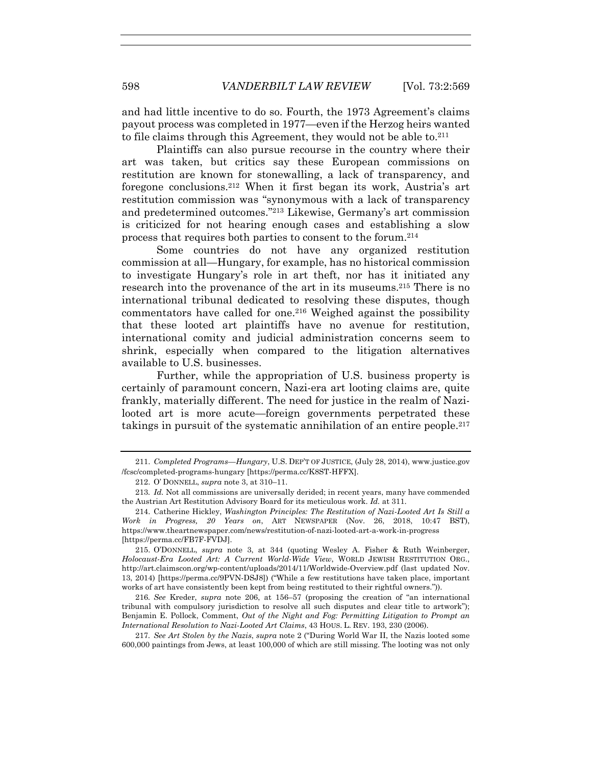and had little incentive to do so. Fourth, the 1973 Agreement's claims payout process was completed in 1977—even if the Herzog heirs wanted to file claims through this Agreement, they would not be able to.<sup>211</sup>

Plaintiffs can also pursue recourse in the country where their art was taken, but critics say these European commissions on restitution are known for stonewalling, a lack of transparency, and foregone conclusions.212 When it first began its work, Austria's art restitution commission was "synonymous with a lack of transparency and predetermined outcomes."213 Likewise, Germany's art commission is criticized for not hearing enough cases and establishing a slow process that requires both parties to consent to the forum.214

Some countries do not have any organized restitution commission at all—Hungary, for example, has no historical commission to investigate Hungary's role in art theft, nor has it initiated any research into the provenance of the art in its museums.215 There is no international tribunal dedicated to resolving these disputes, though commentators have called for one.216 Weighed against the possibility that these looted art plaintiffs have no avenue for restitution, international comity and judicial administration concerns seem to shrink, especially when compared to the litigation alternatives available to U.S. businesses.

Further, while the appropriation of U.S. business property is certainly of paramount concern, Nazi-era art looting claims are, quite frankly, materially different. The need for justice in the realm of Nazilooted art is more acute—foreign governments perpetrated these takings in pursuit of the systematic annihilation of an entire people.217

 215. O'DONNELL, *supra* note 3, at 344 (quoting Wesley A. Fisher & Ruth Weinberger, *Holocaust-Era Looted Art: A Current World-Wide View*, WORLD JEWISH RESTITUTION ORG., http://art.claimscon.org/wp-content/uploads/2014/11/Worldwide-Overview.pdf (last updated Nov. 13, 2014) [https://perma.cc/9PVN-DSJ8]) ("While a few restitutions have taken place, important works of art have consistently been kept from being restituted to their rightful owners.")).

216*. See* Kreder, *supra* note 206, at 156–57 (proposing the creation of "an international tribunal with compulsory jurisdiction to resolve all such disputes and clear title to artwork"); Benjamin E. Pollock, Comment, *Out of the Night and Fog: Permitting Litigation to Prompt an International Resolution to Nazi-Looted Art Claims*, 43 HOUS. L. REV. 193, 230 (2006).

217*. See Art Stolen by the Nazis*, *supra* note 2 ("During World War II, the Nazis looted some 600,000 paintings from Jews, at least 100,000 of which are still missing. The looting was not only

 <sup>211.</sup> *Completed Programs—Hungary*, U.S. DEP'T OF JUSTICE, (July 28, 2014), www.justice.gov /fcsc/completed-programs-hungary [https://perma.cc/K8ST-HFFX].

 <sup>212.</sup> O' DONNELL, *supra* note 3, at 310–11.

<sup>213</sup>*. Id.* Not all commissions are universally derided; in recent years, many have commended the Austrian Art Restitution Advisory Board for its meticulous work. *Id.* at 311.

 <sup>214.</sup> Catherine Hickley, *Washington Principles: The Restitution of Nazi-Looted Art Is Still a Work in Progress, 20 Years on*, ART NEWSPAPER (Nov. 26, 2018, 10:47 BST), https://www.theartnewspaper.com/news/restitution-of-nazi-looted-art-a-work-in-progress [https://perma.cc/FB7F-FVDJ].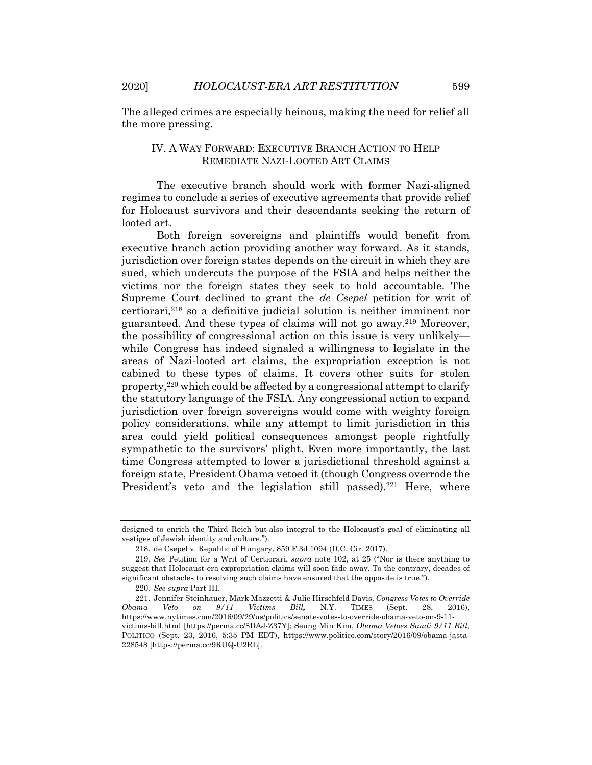The alleged crimes are especially heinous, making the need for relief all the more pressing.

# IV. A WAY FORWARD: EXECUTIVE BRANCH ACTION TO HELP REMEDIATE NAZI-LOOTED ART CLAIMS

The executive branch should work with former Nazi-aligned regimes to conclude a series of executive agreements that provide relief for Holocaust survivors and their descendants seeking the return of looted art.

Both foreign sovereigns and plaintiffs would benefit from executive branch action providing another way forward. As it stands, jurisdiction over foreign states depends on the circuit in which they are sued, which undercuts the purpose of the FSIA and helps neither the victims nor the foreign states they seek to hold accountable. The Supreme Court declined to grant the *de Csepel* petition for writ of certiorari,218 so a definitive judicial solution is neither imminent nor guaranteed. And these types of claims will not go away.219 Moreover, the possibility of congressional action on this issue is very unlikely while Congress has indeed signaled a willingness to legislate in the areas of Nazi-looted art claims, the expropriation exception is not cabined to these types of claims. It covers other suits for stolen property,220 which could be affected by a congressional attempt to clarify the statutory language of the FSIA. Any congressional action to expand jurisdiction over foreign sovereigns would come with weighty foreign policy considerations, while any attempt to limit jurisdiction in this area could yield political consequences amongst people rightfully sympathetic to the survivors' plight. Even more importantly, the last time Congress attempted to lower a jurisdictional threshold against a foreign state, President Obama vetoed it (though Congress overrode the President's veto and the legislation still passed).<sup>221</sup> Here, where

designed to enrich the Third Reich but also integral to the Holocaust's goal of eliminating all vestiges of Jewish identity and culture.").

 <sup>218.</sup> de Csepel v. Republic of Hungary, 859 F.3d 1094 (D.C. Cir. 2017).

<sup>219</sup>*. See* Petition for a Writ of Certiorari, *supra* note 102, at 25 ("Nor is there anything to suggest that Holocaust-era expropriation claims will soon fade away. To the contrary, decades of significant obstacles to resolving such claims have ensured that the opposite is true.").

<sup>220</sup>*. See supra* Part III.

 <sup>221.</sup> Jennifer Steinhauer, Mark Mazzetti & Julie Hirschfeld Davis, *Congress Votes to Override Obama Veto on 9/11 Victims Bill,* N.Y. TIMES (Sept. 28, 2016), https://www.nytimes.com/2016/09/29/us/politics/senate-votes-to-override-obama-veto-on-9-11 victims-bill.html [https://perma.cc/8DAJ-Z37Y]; Seung Min Kim, *Obama Vetoes Saudi 9/11 Bill*, POLITICO (Sept. 23, 2016, 5:35 PM EDT), https://www.politico.com/story/2016/09/obama-jasta-228548 [https://perma.cc/9RUQ-U2RL].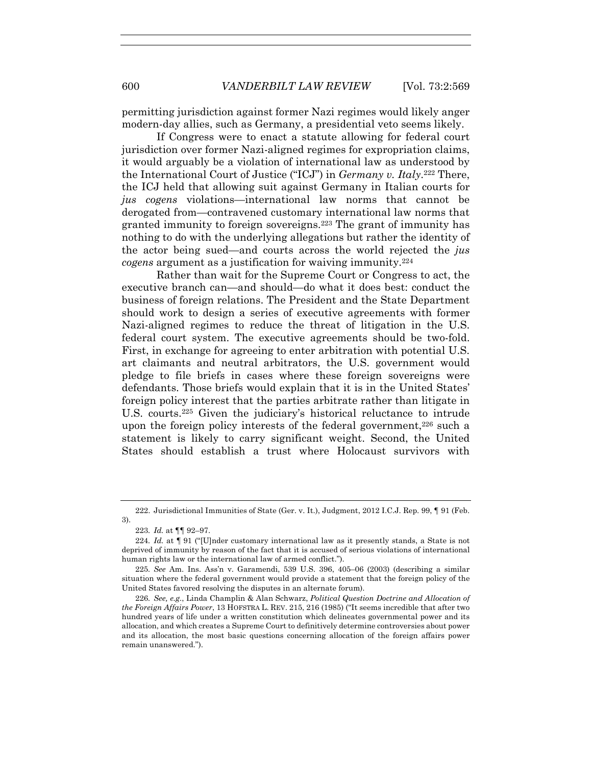permitting jurisdiction against former Nazi regimes would likely anger modern-day allies, such as Germany, a presidential veto seems likely.

If Congress were to enact a statute allowing for federal court jurisdiction over former Nazi-aligned regimes for expropriation claims, it would arguably be a violation of international law as understood by the International Court of Justice ("ICJ") in *Germany v. Italy*.222 There, the ICJ held that allowing suit against Germany in Italian courts for *jus cogens* violations—international law norms that cannot be derogated from—contravened customary international law norms that granted immunity to foreign sovereigns.223 The grant of immunity has nothing to do with the underlying allegations but rather the identity of the actor being sued—and courts across the world rejected the *jus cogens* argument as a justification for waiving immunity.<sup>224</sup>

Rather than wait for the Supreme Court or Congress to act, the executive branch can—and should—do what it does best: conduct the business of foreign relations. The President and the State Department should work to design a series of executive agreements with former Nazi-aligned regimes to reduce the threat of litigation in the U.S. federal court system. The executive agreements should be two-fold. First, in exchange for agreeing to enter arbitration with potential U.S. art claimants and neutral arbitrators, the U.S. government would pledge to file briefs in cases where these foreign sovereigns were defendants. Those briefs would explain that it is in the United States' foreign policy interest that the parties arbitrate rather than litigate in U.S. courts.225 Given the judiciary's historical reluctance to intrude upon the foreign policy interests of the federal government,  $226$  such a statement is likely to carry significant weight. Second, the United States should establish a trust where Holocaust survivors with

 <sup>222.</sup> Jurisdictional Immunities of State (Ger. v. It.), Judgment, 2012 I.C.J. Rep. 99, ¶ 91 (Feb. 3).

<sup>223</sup>*. Id.* at ¶¶ 92–97.

<sup>224</sup>*. Id.* at ¶ 91 ("[U]nder customary international law as it presently stands, a State is not deprived of immunity by reason of the fact that it is accused of serious violations of international human rights law or the international law of armed conflict.").

<sup>225</sup>*. See* Am. Ins. Ass'n v. Garamendi, 539 U.S. 396, 405–06 (2003) (describing a similar situation where the federal government would provide a statement that the foreign policy of the United States favored resolving the disputes in an alternate forum).

<sup>226</sup>*. See, e.g.*, Linda Champlin & Alan Schwarz, *Political Question Doctrine and Allocation of the Foreign Affairs Power*, 13 HOFSTRA L. REV. 215, 216 (1985) ("It seems incredible that after two hundred years of life under a written constitution which delineates governmental power and its allocation, and which creates a Supreme Court to definitively determine controversies about power and its allocation, the most basic questions concerning allocation of the foreign affairs power remain unanswered.").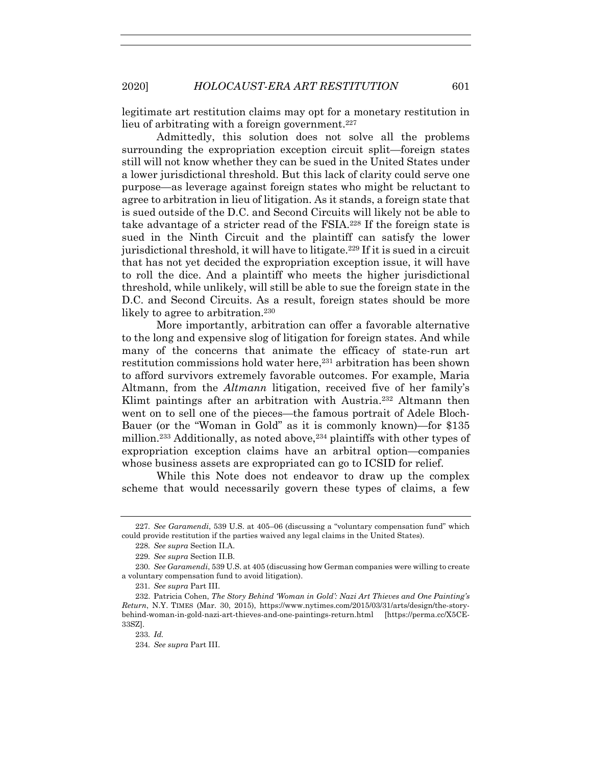legitimate art restitution claims may opt for a monetary restitution in lieu of arbitrating with a foreign government.<sup>227</sup>

Admittedly, this solution does not solve all the problems surrounding the expropriation exception circuit split—foreign states still will not know whether they can be sued in the United States under a lower jurisdictional threshold. But this lack of clarity could serve one purpose—as leverage against foreign states who might be reluctant to agree to arbitration in lieu of litigation. As it stands, a foreign state that is sued outside of the D.C. and Second Circuits will likely not be able to take advantage of a stricter read of the FSIA.228 If the foreign state is sued in the Ninth Circuit and the plaintiff can satisfy the lower jurisdictional threshold, it will have to litigate.229 If it is sued in a circuit that has not yet decided the expropriation exception issue, it will have to roll the dice. And a plaintiff who meets the higher jurisdictional threshold, while unlikely, will still be able to sue the foreign state in the D.C. and Second Circuits. As a result, foreign states should be more likely to agree to arbitration.<sup>230</sup>

More importantly, arbitration can offer a favorable alternative to the long and expensive slog of litigation for foreign states. And while many of the concerns that animate the efficacy of state-run art restitution commissions hold water here,<sup>231</sup> arbitration has been shown to afford survivors extremely favorable outcomes. For example, Maria Altmann, from the *Altmann* litigation, received five of her family's Klimt paintings after an arbitration with Austria.232 Altmann then went on to sell one of the pieces—the famous portrait of Adele Bloch-Bauer (or the "Woman in Gold" as it is commonly known)—for \$135 million.<sup>233</sup> Additionally, as noted above,<sup>234</sup> plaintiffs with other types of expropriation exception claims have an arbitral option—companies whose business assets are expropriated can go to ICSID for relief.

While this Note does not endeavor to draw up the complex scheme that would necessarily govern these types of claims, a few

<sup>227</sup>*. See Garamendi*, 539 U.S. at 405–06 (discussing a "voluntary compensation fund" which could provide restitution if the parties waived any legal claims in the United States).

<sup>228</sup>*. See supra* Section II.A.

<sup>229</sup>*. See supra* Section II.B.

<sup>230</sup>*. See Garamendi*, 539 U.S. at 405 (discussing how German companies were willing to create a voluntary compensation fund to avoid litigation).

<sup>231</sup>*. See supra* Part III.

 <sup>232.</sup> Patricia Cohen, *The Story Behind 'Woman in Gold': Nazi Art Thieves and One Painting's Return*, N.Y. TIMES (Mar. 30, 2015), https://www.nytimes.com/2015/03/31/arts/design/the-storybehind-woman-in-gold-nazi-art-thieves-and-one-paintings-return.html [https://perma.cc/X5CE-33SZ].

<sup>233</sup>*. Id.*

<sup>234</sup>*. See supra* Part III.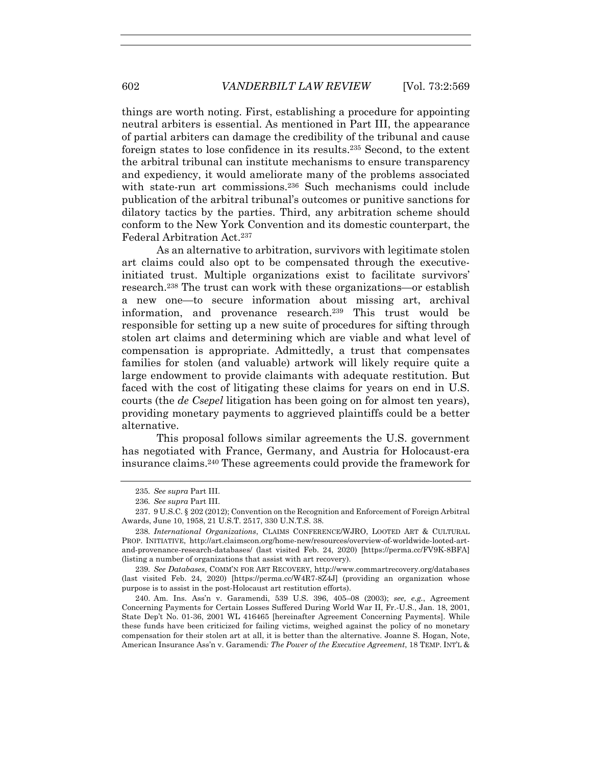things are worth noting. First, establishing a procedure for appointing neutral arbiters is essential. As mentioned in Part III, the appearance of partial arbiters can damage the credibility of the tribunal and cause foreign states to lose confidence in its results.235 Second, to the extent the arbitral tribunal can institute mechanisms to ensure transparency and expediency, it would ameliorate many of the problems associated with state-run art commissions.<sup>236</sup> Such mechanisms could include publication of the arbitral tribunal's outcomes or punitive sanctions for dilatory tactics by the parties. Third, any arbitration scheme should conform to the New York Convention and its domestic counterpart, the Federal Arbitration Act.237

As an alternative to arbitration, survivors with legitimate stolen art claims could also opt to be compensated through the executiveinitiated trust. Multiple organizations exist to facilitate survivors' research.238 The trust can work with these organizations—or establish a new one—to secure information about missing art, archival information, and provenance research.239 This trust would be responsible for setting up a new suite of procedures for sifting through stolen art claims and determining which are viable and what level of compensation is appropriate. Admittedly, a trust that compensates families for stolen (and valuable) artwork will likely require quite a large endowment to provide claimants with adequate restitution. But faced with the cost of litigating these claims for years on end in U.S. courts (the *de Csepel* litigation has been going on for almost ten years), providing monetary payments to aggrieved plaintiffs could be a better alternative.

This proposal follows similar agreements the U.S. government has negotiated with France, Germany, and Austria for Holocaust-era insurance claims.240 These agreements could provide the framework for

239*. See Databases*, COMM'N FOR ART RECOVERY, http://www.commartrecovery.org/databases (last visited Feb. 24, 2020) [https://perma.cc/W4R7-8Z4J] (providing an organization whose purpose is to assist in the post-Holocaust art restitution efforts).

 240. Am. Ins. Ass'n v. Garamendi, 539 U.S. 396, 405–08 (2003); *see, e.g.*, Agreement Concerning Payments for Certain Losses Suffered During World War II, Fr.-U.S., Jan. 18, 2001, State Dep't No. 01-36, 2001 WL 416465 [hereinafter Agreement Concerning Payments]. While these funds have been criticized for failing victims, weighed against the policy of no monetary compensation for their stolen art at all, it is better than the alternative. Joanne S. Hogan, Note, American Insurance Ass'n v. Garamendi*: The Power of the Executive Agreement*, 18 TEMP. INT'L &

<sup>235</sup>*. See supra* Part III.

<sup>236</sup>*. See supra* Part III.

 <sup>237. 9</sup> U.S.C. § 202 (2012); Convention on the Recognition and Enforcement of Foreign Arbitral Awards, June 10, 1958, 21 U.S.T. 2517, 330 U.N.T.S. 38.

<sup>238</sup>*. International Organizations*, CLAIMS CONFERENCE/WJRO, LOOTED ART & CULTURAL PROP. INITIATIVE, http://art.claimscon.org/home-new/resources/overview-of-worldwide-looted-artand-provenance-research-databases/ (last visited Feb. 24, 2020) [https://perma.cc/FV9K-8BFA] (listing a number of organizations that assist with art recovery).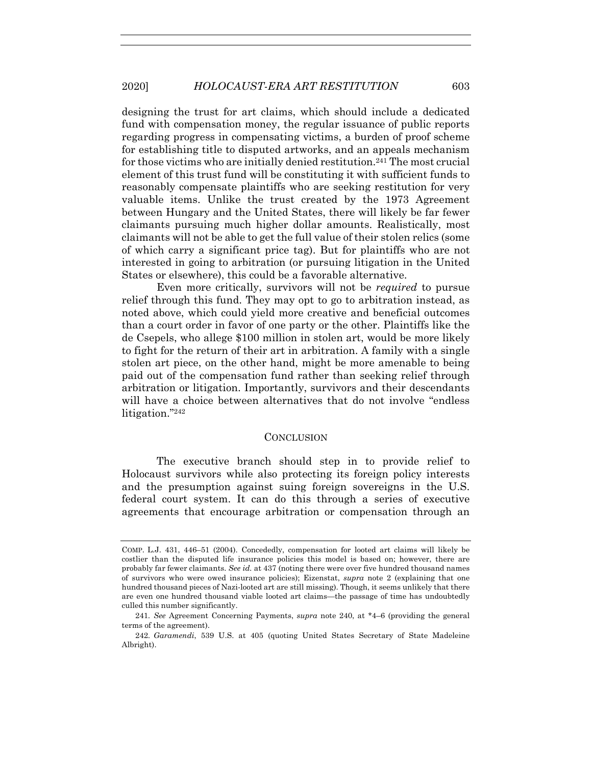designing the trust for art claims, which should include a dedicated fund with compensation money, the regular issuance of public reports regarding progress in compensating victims, a burden of proof scheme for establishing title to disputed artworks, and an appeals mechanism for those victims who are initially denied restitution.241 The most crucial element of this trust fund will be constituting it with sufficient funds to reasonably compensate plaintiffs who are seeking restitution for very valuable items. Unlike the trust created by the 1973 Agreement between Hungary and the United States, there will likely be far fewer claimants pursuing much higher dollar amounts. Realistically, most claimants will not be able to get the full value of their stolen relics (some of which carry a significant price tag). But for plaintiffs who are not interested in going to arbitration (or pursuing litigation in the United States or elsewhere), this could be a favorable alternative.

Even more critically, survivors will not be *required* to pursue relief through this fund. They may opt to go to arbitration instead, as noted above, which could yield more creative and beneficial outcomes than a court order in favor of one party or the other. Plaintiffs like the de Csepels, who allege \$100 million in stolen art, would be more likely to fight for the return of their art in arbitration. A family with a single stolen art piece, on the other hand, might be more amenable to being paid out of the compensation fund rather than seeking relief through arbitration or litigation. Importantly, survivors and their descendants will have a choice between alternatives that do not involve "endless litigation."242

#### **CONCLUSION**

The executive branch should step in to provide relief to Holocaust survivors while also protecting its foreign policy interests and the presumption against suing foreign sovereigns in the U.S. federal court system. It can do this through a series of executive agreements that encourage arbitration or compensation through an

COMP. L.J. 431, 446–51 (2004). Concededly, compensation for looted art claims will likely be costlier than the disputed life insurance policies this model is based on; however, there are probably far fewer claimants. *See id.* at 437 (noting there were over five hundred thousand names of survivors who were owed insurance policies); Eizenstat, *supra* note 2 (explaining that one hundred thousand pieces of Nazi-looted art are still missing). Though, it seems unlikely that there are even one hundred thousand viable looted art claims—the passage of time has undoubtedly culled this number significantly.

<sup>241</sup>*. See* Agreement Concerning Payments, *supra* note 240, at \*4–6 (providing the general terms of the agreement).

<sup>242</sup>*. Garamendi*, 539 U.S. at 405 (quoting United States Secretary of State Madeleine Albright).